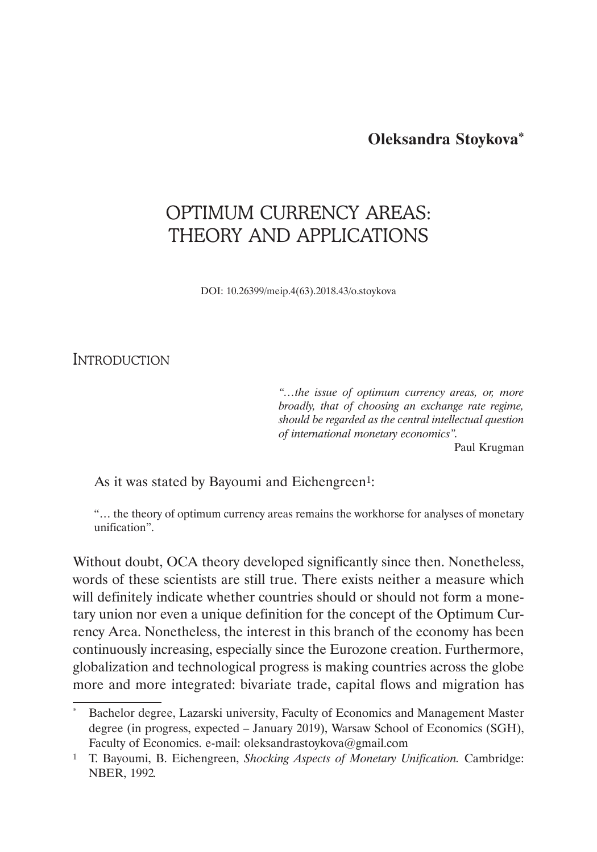**Oleksandra Stoykova\***

# OPTIMUM CURRENCY AREAS: THEORY AND APPLICATIONS

DOI: 10.26399/meip.4(63).2018.43/o.stoykova

**INTRODUCTION** 

*"…the issue of optimum currency areas, or, more broadly, that of choosing an exchange rate regime, should be regarded as the central intellectual question of international monetary economics".* 

Paul Krugman

As it was stated by Bayoumi and Eichengreen<sup>1</sup>:

"… the theory of optimum currency areas remains the workhorse for analyses of monetary unification".

Without doubt, OCA theory developed significantly since then. Nonetheless, words of these scientists are still true. There exists neither a measure which will definitely indicate whether countries should or should not form a monetary union nor even a unique definition for the concept of the Optimum Currency Area. Nonetheless, the interest in this branch of the economy has been continuously increasing, especially since the Eurozone creation. Furthermore, globalization and technological progress is making countries across the globe more and more integrated: bivariate trade, capital flows and migration has

Bachelor degree, Lazarski university, Faculty of Economics and Management Master degree (in progress, expected – January 2019), Warsaw School of Economics (SGH), Faculty of Economics. e-mail: oleksandrastoykova@gmail.com

<sup>1</sup> T. Bayoumi, B. Eichengreen, *Shocking Aspects of Monetary Unification.* Cambridge: NBER, 1992*.*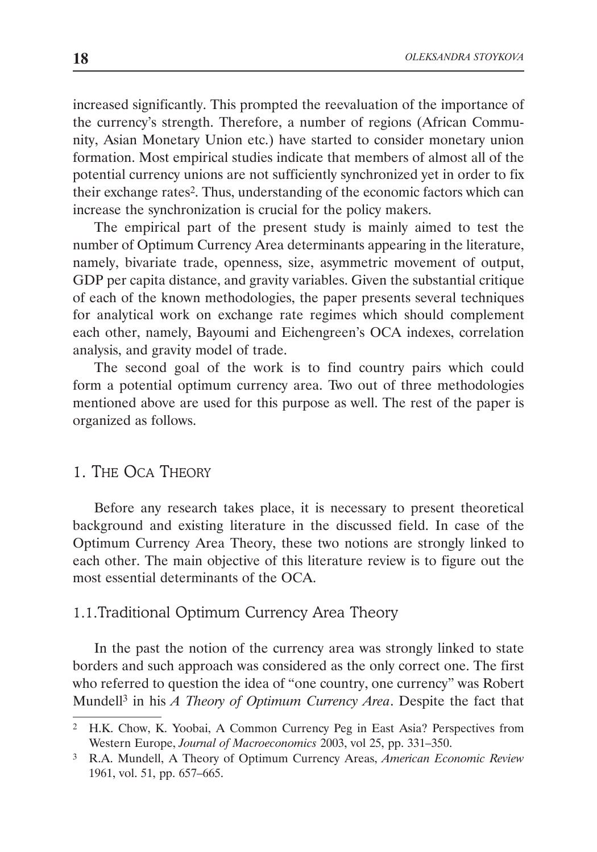increased significantly. This prompted the reevaluation of the importance of the currency's strength. Therefore, a number of regions (African Community, Asian Monetary Union etc.) have started to consider monetary union formation. Most empirical studies indicate that members of almost all of the potential currency unions are not sufficiently synchronized yet in order to fix their exchange rates<sup>2</sup>. Thus, understanding of the economic factors which can increase the synchronization is crucial for the policy makers.

The empirical part of the present study is mainly aimed to test the number of Optimum Currency Area determinants appearing in the literature, namely, bivariate trade, openness, size, asymmetric movement of output, GDP per capita distance, and gravity variables. Given the substantial critique of each of the known methodologies, the paper presents several techniques for analytical work on exchange rate regimes which should complement each other, namely, Bayoumi and Eichengreen's OCA indexes, correlation analysis, and gravity model of trade.

The second goal of the work is to find country pairs which could form a potential optimum currency area. Two out of three methodologies mentioned above are used for this purpose as well. The rest of the paper is organized as follows.

# 1. The Oca Theory

Before any research takes place, it is necessary to present theoretical background and existing literature in the discussed field. In case of the Optimum Currency Area Theory, these two notions are strongly linked to each other. The main objective of this literature review is to figure out the most essential determinants of the OCA.

# 1.1.Traditional Optimum Currency Area Theory

In the past the notion of the currency area was strongly linked to state borders and such approach was considered as the only correct one. The first who referred to question the idea of "one country, one currency" was Robert Mundell3 in his *A Theory of Optimum Currency Area*. Despite the fact that

<sup>2</sup> H.K. Chow, K. Yoobai, A Common Currency Peg in East Asia? Perspectives from Western Europe, *Journal of Macroeconomics* 2003, vol 25, pp. 331–350.

<sup>3</sup> R.A. Mundell, A Theory of Optimum Currency Areas, *American Economic Review* 1961, vol. 51, pp. 657–665.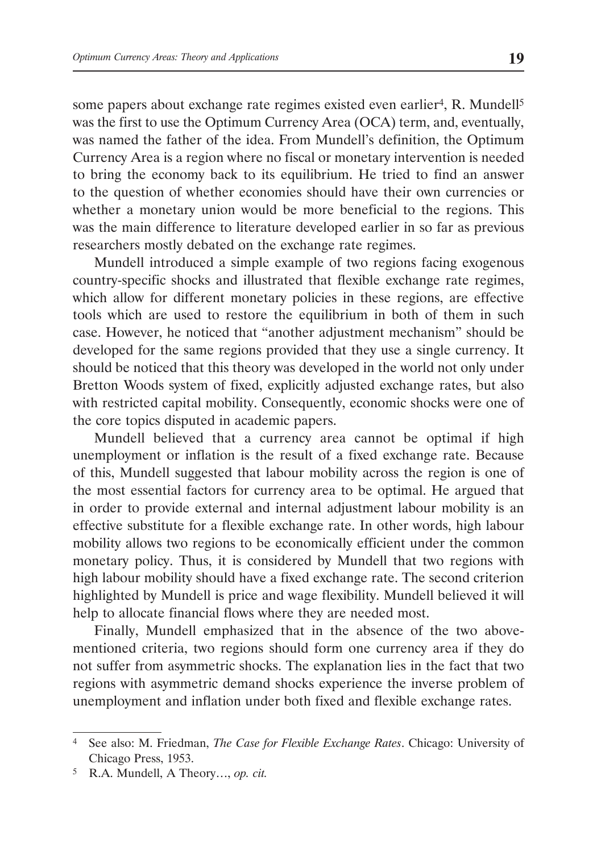some papers about exchange rate regimes existed even earlier<sup>4</sup>, R. Mundell<sup>5</sup> was the first to use the Optimum Currency Area (OCA) term, and, eventually, was named the father of the idea. From Mundell's definition, the Optimum Currency Area is a region where no fiscal or monetary intervention is needed to bring the economy back to its equilibrium. He tried to find an answer to the question of whether economies should have their own currencies or whether a monetary union would be more beneficial to the regions. This was the main difference to literature developed earlier in so far as previous researchers mostly debated on the exchange rate regimes.

Mundell introduced a simple example of two regions facing exogenous country-specific shocks and illustrated that flexible exchange rate regimes, which allow for different monetary policies in these regions, are effective tools which are used to restore the equilibrium in both of them in such case. However, he noticed that "another adjustment mechanism" should be developed for the same regions provided that they use a single currency. It should be noticed that this theory was developed in the world not only under Bretton Woods system of fixed, explicitly adjusted exchange rates, but also with restricted capital mobility. Consequently, economic shocks were one of the core topics disputed in academic papers.

Mundell believed that a currency area cannot be optimal if high unemployment or inflation is the result of a fixed exchange rate. Because of this, Mundell suggested that labour mobility across the region is one of the most essential factors for currency area to be optimal. He argued that in order to provide external and internal adjustment labour mobility is an effective substitute for a flexible exchange rate. In other words, high labour mobility allows two regions to be economically efficient under the common monetary policy. Thus, it is considered by Mundell that two regions with high labour mobility should have a fixed exchange rate. The second criterion highlighted by Mundell is price and wage flexibility. Mundell believed it will help to allocate financial flows where they are needed most.

Finally, Mundell emphasized that in the absence of the two abovementioned criteria, two regions should form one currency area if they do not suffer from asymmetric shocks. The explanation lies in the fact that two regions with asymmetric demand shocks experience the inverse problem of unemployment and inflation under both fixed and flexible exchange rates.

<sup>4</sup> See also: M. Friedman, *The Case for Flexible Exchange Rates*. Chicago: University of Chicago Press, 1953.

<sup>5</sup> R.A. Mundell, A Theory…, *op. cit.*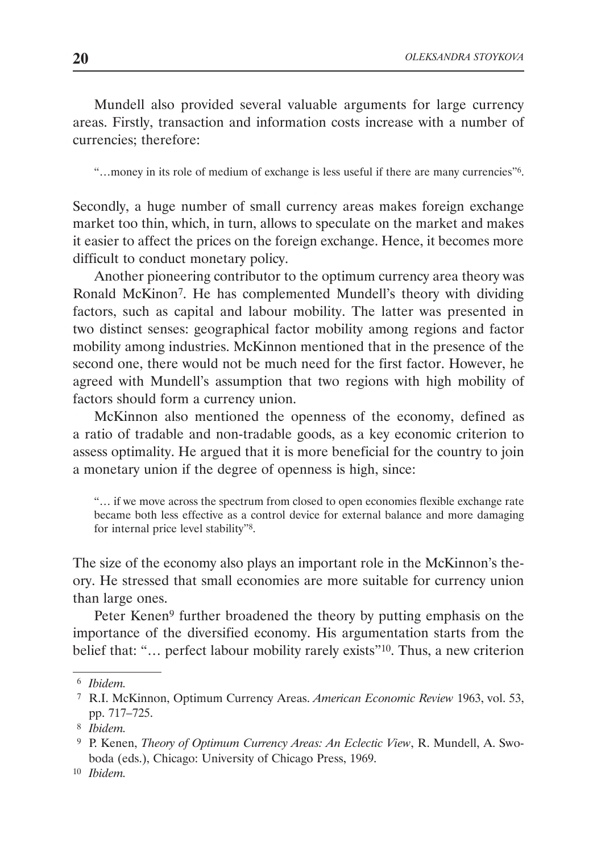Mundell also provided several valuable arguments for large currency areas. Firstly, transaction and information costs increase with a number of currencies; therefore:

"…money in its role of medium of exchange is less useful if there are many currencies"6.

Secondly, a huge number of small currency areas makes foreign exchange market too thin, which, in turn, allows to speculate on the market and makes it easier to affect the prices on the foreign exchange. Hence, it becomes more difficult to conduct monetary policy.

Another pioneering contributor to the optimum currency area theory was Ronald McKinon7. He has complemented Mundell's theory with dividing factors, such as capital and labour mobility. The latter was presented in two distinct senses: geographical factor mobility among regions and factor mobility among industries. McKinnon mentioned that in the presence of the second one, there would not be much need for the first factor. However, he agreed with Mundell's assumption that two regions with high mobility of factors should form a currency union.

McKinnon also mentioned the openness of the economy, defined as a ratio of tradable and non-tradable goods, as a key economic criterion to assess optimality. He argued that it is more beneficial for the country to join a monetary union if the degree of openness is high, since:

"… if we move across the spectrum from closed to open economies flexible exchange rate became both less effective as a control device for external balance and more damaging for internal price level stability"8.

The size of the economy also plays an important role in the McKinnon's theory. He stressed that small economies are more suitable for currency union than large ones.

Peter Kenen<sup>9</sup> further broadened the theory by putting emphasis on the importance of the diversified economy. His argumentation starts from the belief that: "... perfect labour mobility rarely exists"<sup>10</sup>. Thus, a new criterion

<sup>6</sup> *Ibidem.*

<sup>7</sup> R.I. McKinnon, Optimum Currency Areas. *American Economic Review* 1963, vol. 53, pp. 717–725.

<sup>8</sup> *Ibidem.*

<sup>9</sup> P. Kenen, *Theory of Optimum Currency Areas: An Eclectic View*, R. Mundell, A. Swoboda (eds.), Chicago: University of Chicago Press, 1969.

<sup>10</sup> *Ibidem.*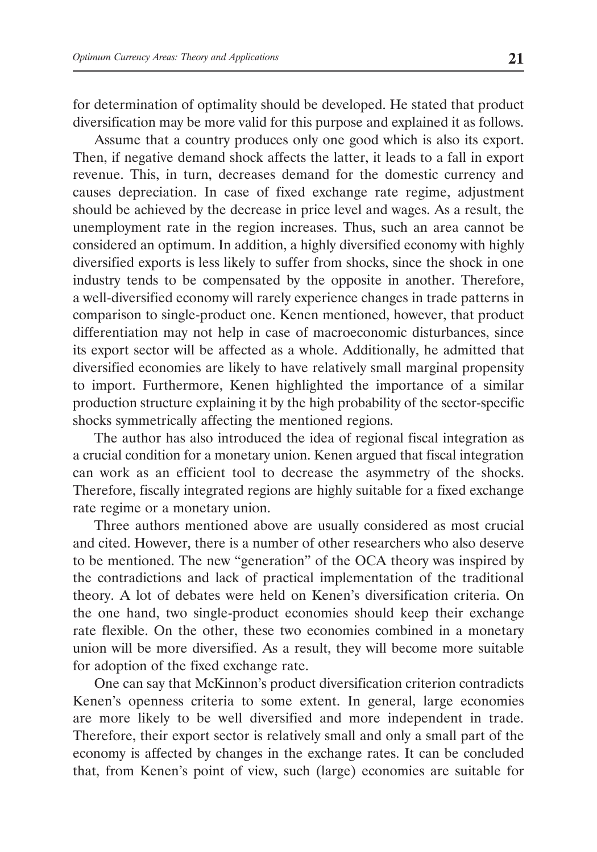for determination of optimality should be developed. He stated that product diversification may be more valid for this purpose and explained it as follows.

Assume that a country produces only one good which is also its export. Then, if negative demand shock affects the latter, it leads to a fall in export revenue. This, in turn, decreases demand for the domestic currency and causes depreciation. In case of fixed exchange rate regime, adjustment should be achieved by the decrease in price level and wages. As a result, the unemployment rate in the region increases. Thus, such an area cannot be considered an optimum. In addition, a highly diversified economy with highly diversified exports is less likely to suffer from shocks, since the shock in one industry tends to be compensated by the opposite in another. Therefore, a well-diversified economy will rarely experience changes in trade patterns in comparison to single-product one. Kenen mentioned, however, that product differentiation may not help in case of macroeconomic disturbances, since its export sector will be affected as a whole. Additionally, he admitted that diversified economies are likely to have relatively small marginal propensity to import. Furthermore, Kenen highlighted the importance of a similar production structure explaining it by the high probability of the sector-specific shocks symmetrically affecting the mentioned regions.

The author has also introduced the idea of regional fiscal integration as a crucial condition for a monetary union. Kenen argued that fiscal integration can work as an efficient tool to decrease the asymmetry of the shocks. Therefore, fiscally integrated regions are highly suitable for a fixed exchange rate regime or a monetary union.

Three authors mentioned above are usually considered as most crucial and cited. However, there is a number of other researchers who also deserve to be mentioned. The new "generation" of the OCA theory was inspired by the contradictions and lack of practical implementation of the traditional theory. A lot of debates were held on Kenen's diversification criteria. On the one hand, two single-product economies should keep their exchange rate flexible. On the other, these two economies combined in a monetary union will be more diversified. As a result, they will become more suitable for adoption of the fixed exchange rate.

One can say that McKinnon's product diversification criterion contradicts Kenen's openness criteria to some extent. In general, large economies are more likely to be well diversified and more independent in trade. Therefore, their export sector is relatively small and only a small part of the economy is affected by changes in the exchange rates. It can be concluded that, from Kenen's point of view, such (large) economies are suitable for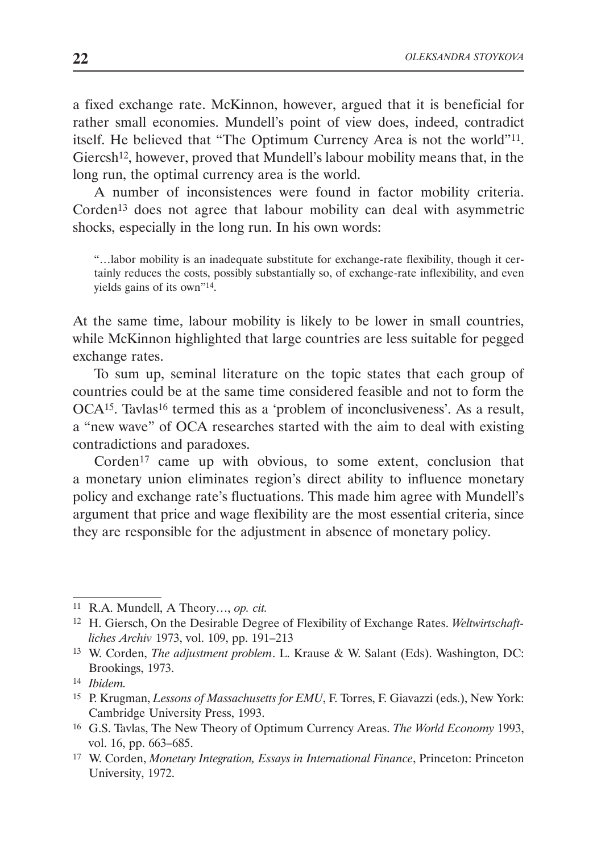a fixed exchange rate. McKinnon, however, argued that it is beneficial for rather small economies. Mundell's point of view does, indeed, contradict itself. He believed that "The Optimum Currency Area is not the world"11. Giercsh<sup>12</sup>, however, proved that Mundell's labour mobility means that, in the long run, the optimal currency area is the world.

A number of inconsistences were found in factor mobility criteria. Corden13 does not agree that labour mobility can deal with asymmetric shocks, especially in the long run. In his own words:

"…labor mobility is an inadequate substitute for exchange-rate flexibility, though it certainly reduces the costs, possibly substantially so, of exchange-rate inflexibility, and even yields gains of its own"14.

At the same time, labour mobility is likely to be lower in small countries, while McKinnon highlighted that large countries are less suitable for pegged exchange rates.

To sum up, seminal literature on the topic states that each group of countries could be at the same time considered feasible and not to form the OCA<sup>15</sup>. Tavlas<sup>16</sup> termed this as a 'problem of inconclusiveness'. As a result, a "new wave" of OCA researches started with the aim to deal with existing contradictions and paradoxes.

Corden<sup>17</sup> came up with obvious, to some extent, conclusion that a monetary union eliminates region's direct ability to influence monetary policy and exchange rate's fluctuations. This made him agree with Mundell's argument that price and wage flexibility are the most essential criteria, since they are responsible for the adjustment in absence of monetary policy.

<sup>11</sup> R.A. Mundell, A Theory…, *op. cit.*

<sup>12</sup> H. Giersch, On the Desirable Degree of Flexibility of Exchange Rates. *Weltwirtschaftliches Archiv* 1973, vol. 109, pp. 191–213

<sup>13</sup> W. Corden, *The adjustment problem*. L. Krause & W. Salant (Eds). Washington, DC: Brookings, 1973.

<sup>14</sup> *Ibidem.*

<sup>15</sup> P. Krugman, *Lessons of Massachusetts for EMU*, F. Torres, F. Giavazzi (eds.), New York: Cambridge University Press, 1993.

<sup>16</sup> G.S. Tavlas, The New Theory of Optimum Currency Areas. *The World Economy* 1993, vol. 16, pp. 663–685.

<sup>17</sup> W. Corden, *Monetary Integration, Essays in International Finance*, Princeton: Princeton University, 1972.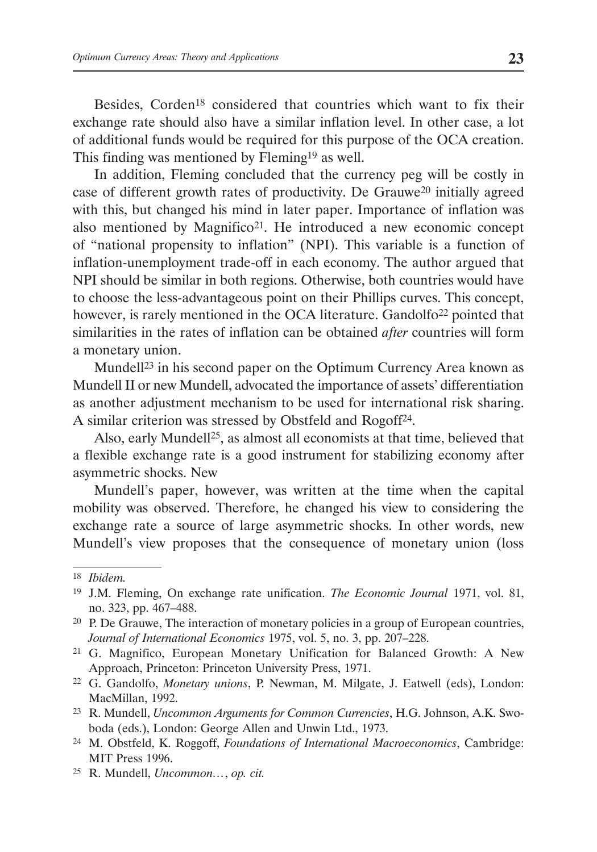Besides, Corden<sup>18</sup> considered that countries which want to fix their exchange rate should also have a similar inflation level. In other case, a lot of additional funds would be required for this purpose of the OCA creation. This finding was mentioned by Fleming19 as well.

In addition, Fleming concluded that the currency peg will be costly in case of different growth rates of productivity. De Grauwe20 initially agreed with this, but changed his mind in later paper. Importance of inflation was also mentioned by Magnifico21. He introduced a new economic concept of "national propensity to inflation" (NPI). This variable is a function of inflation-unemployment trade-off in each economy. The author argued that NPI should be similar in both regions. Otherwise, both countries would have to choose the less-advantageous point on their Phillips curves. This concept, however, is rarely mentioned in the OCA literature. Gandolfo<sup>22</sup> pointed that similarities in the rates of inflation can be obtained *after* countries will form a monetary union.

Mundell23 in his second paper on the Optimum Currency Area known as Mundell II or new Mundell, advocated the importance of assets' differentiation as another adjustment mechanism to be used for international risk sharing. A similar criterion was stressed by Obstfeld and Rogoff24.

Also, early Mundell<sup>25</sup>, as almost all economists at that time, believed that a flexible exchange rate is a good instrument for stabilizing economy after asymmetric shocks. New

Mundell's paper, however, was written at the time when the capital mobility was observed. Therefore, he changed his view to considering the exchange rate a source of large asymmetric shocks. In other words, new Mundell's view proposes that the consequence of monetary union (loss

<sup>25</sup> R. Mundell, *Uncommon…*, *op. cit.*

<sup>18</sup> *Ibidem.*

<sup>19</sup> J.M. Fleming, On exchange rate unification. *The Economic Journal* 1971, vol. 81, no. 323, pp. 467–488.

<sup>20</sup> P. De Grauwe, The interaction of monetary policies in a group of European countries, *Journal of International Economics* 1975, vol. 5, no. 3, pp. 207–228.

<sup>21</sup> G. Magnifico, European Monetary Unification for Balanced Growth: A New Approach, Princeton: Princeton University Press, 1971.

<sup>22</sup> G. Gandolfo, *Monetary unions*, P. Newman, M. Milgate, J. Eatwell (eds), London: MacMillan, 1992.

<sup>23</sup> R. Mundell, *Uncommon Arguments for Common Currencies*, H.G. Johnson, A.K. Swoboda (eds.), London: George Allen and Unwin Ltd., 1973.

<sup>24</sup> M. Obstfeld, K. Roggoff, *Foundations of International Macroeconomics*, Cambridge: MIT Press 1996.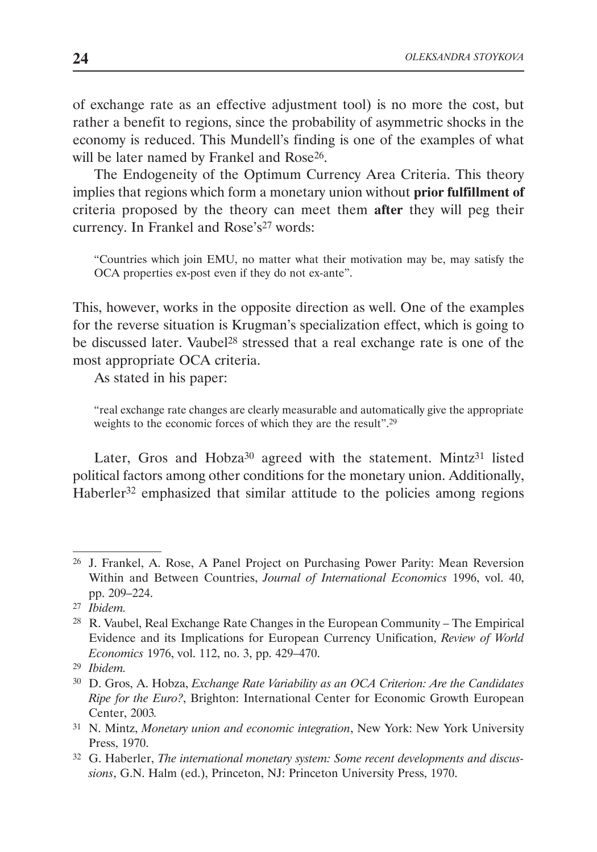of exchange rate as an effective adjustment tool) is no more the cost, but rather a benefit to regions, since the probability of asymmetric shocks in the economy is reduced. This Mundell's finding is one of the examples of what will be later named by Frankel and Rose<sup>26</sup>.

The Endogeneity of the Optimum Currency Area Criteria. This theory implies that regions which form a monetary union without **prior fulfillment of** criteria proposed by the theory can meet them **after** they will peg their currency. In Frankel and Rose's<sup>27</sup> words:

"Countries which join EMU, no matter what their motivation may be, may satisfy the OCA properties ex-post even if they do not ex-ante".

This, however, works in the opposite direction as well. One of the examples for the reverse situation is Krugman's specialization effect, which is going to be discussed later. Vaubel<sup>28</sup> stressed that a real exchange rate is one of the most appropriate OCA criteria.

As stated in his paper:

"real exchange rate changes are clearly measurable and automatically give the appropriate weights to the economic forces of which they are the result".<sup>29</sup>

Later, Gros and Hobza<sup>30</sup> agreed with the statement. Mintz<sup>31</sup> listed political factors among other conditions for the monetary union. Additionally, Haberler<sup>32</sup> emphasized that similar attitude to the policies among regions

<sup>26</sup> J. Frankel, A. Rose, A Panel Project on Purchasing Power Parity: Mean Reversion Within and Between Countries, *Journal of International Economics* 1996, vol. 40, pp. 209–224.

<sup>27</sup> *Ibidem.*

<sup>28</sup> R. Vaubel, Real Exchange Rate Changes in the European Community – The Empirical Evidence and its Implications for European Currency Unification, *Review of World Economics* 1976, vol. 112, no. 3, pp. 429–470.

<sup>29</sup> *Ibidem.*

<sup>30</sup> D. Gros, A. Hobza, *Exchange Rate Variability as an OCA Criterion: Are the Candidates Ripe for the Euro?*, Brighton: International Center for Economic Growth European Center, 2003*.*

<sup>31</sup> N. Mintz, *Monetary union and economic integration*, New York: New York University Press, 1970.

<sup>32</sup> G. Haberler, *The international monetary system: Some recent developments and discussions*, G.N. Halm (ed.), Princeton, NJ: Princeton University Press, 1970.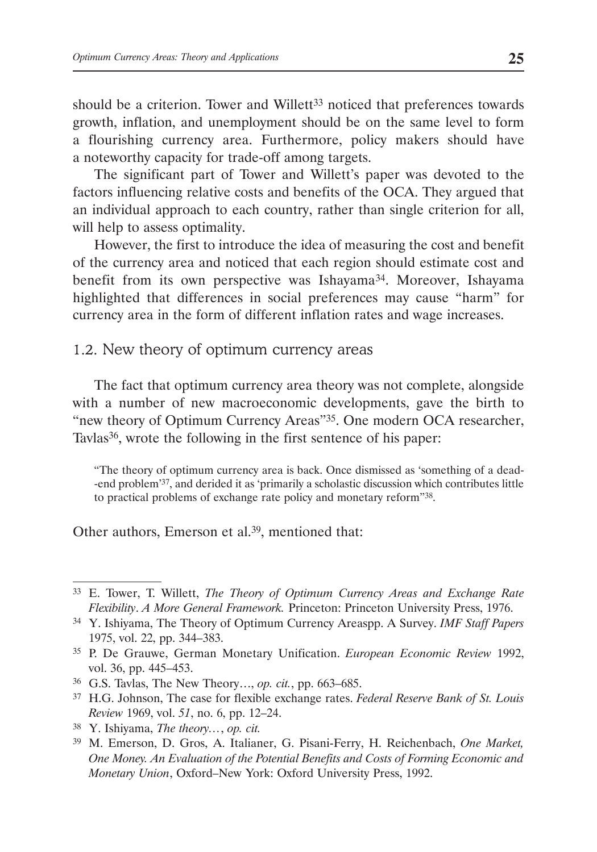should be a criterion. Tower and Willett<sup>33</sup> noticed that preferences towards growth, inflation, and unemployment should be on the same level to form a flourishing currency area. Furthermore, policy makers should have a noteworthy capacity for trade-off among targets.

The significant part of Tower and Willett's paper was devoted to the factors influencing relative costs and benefits of the OCA. They argued that an individual approach to each country, rather than single criterion for all, will help to assess optimality.

However, the first to introduce the idea of measuring the cost and benefit of the currency area and noticed that each region should estimate cost and benefit from its own perspective was Ishayama<sup>34</sup>. Moreover, Ishayama highlighted that differences in social preferences may cause "harm" for currency area in the form of different inflation rates and wage increases.

## 1.2. New theory of optimum currency areas

The fact that optimum currency area theory was not complete, alongside with a number of new macroeconomic developments, gave the birth to "new theory of Optimum Currency Areas"35. One modern OCA researcher, Tavlas<sup>36</sup>, wrote the following in the first sentence of his paper:

"The theory of optimum currency area is back. Once dismissed as 'something of a dead- -end problem'37, and derided it as 'primarily a scholastic discussion which contributes little to practical problems of exchange rate policy and monetary reform"38.

Other authors, Emerson et al.<sup>39</sup>, mentioned that:

<sup>33</sup> E. Tower, T. Willett, *The Theory of Optimum Currency Areas and Exchange Rate Flexibility*. *A More General Framework.* Princeton: Princeton University Press, 1976.

<sup>34</sup> Y. Ishiyama, The Theory of Optimum Currency Areaspp. A Survey. *IMF Staff Papers*  1975, vol. 22, pp. 344–383.

<sup>35</sup> P. De Grauwe, German Monetary Unification. *European Economic Review* 1992, vol. 36, pp. 445–453.

<sup>36</sup> G.S. Tavlas, The New Theory…, *op. cit.*, pp. 663–685.

<sup>37</sup> H.G. Johnson, The case for flexible exchange rates. *Federal Reserve Bank of St. Louis Review* 1969, vol. *51*, no. 6, pp. 12–24.

<sup>38</sup> Y. Ishiyama, *The theory…*, *op. cit.*

<sup>39</sup> M. Emerson, D. Gros, A. Italianer, G. Pisani-Ferry, H. Reichenbach, *One Market, One Money. An Evaluation of the Potential Benefits and Costs of Forming Economic and Monetary Union*, Oxford–New York: Oxford University Press, 1992.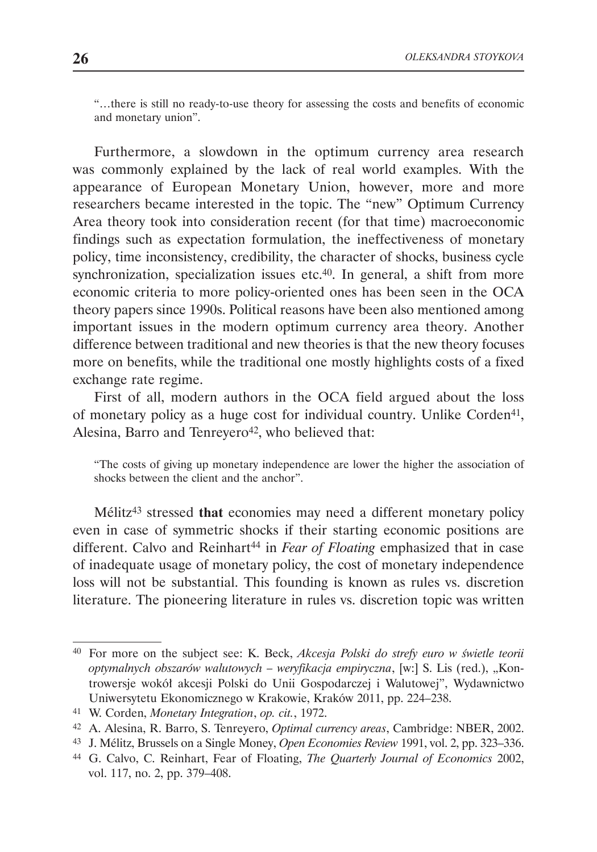"…there is still no ready-to-use theory for assessing the costs and benefits of economic and monetary union".

Furthermore, a slowdown in the optimum currency area research was commonly explained by the lack of real world examples. With the appearance of European Monetary Union, however, more and more researchers became interested in the topic. The "new" Optimum Currency Area theory took into consideration recent (for that time) macroeconomic findings such as expectation formulation, the ineffectiveness of monetary policy, time inconsistency, credibility, the character of shocks, business cycle synchronization, specialization issues etc.<sup>40</sup>. In general, a shift from more economic criteria to more policy-oriented ones has been seen in the OCA theory papers since 1990s. Political reasons have been also mentioned among important issues in the modern optimum currency area theory. Another difference between traditional and new theories is that the new theory focuses more on benefits, while the traditional one mostly highlights costs of a fixed exchange rate regime.

First of all, modern authors in the OCA field argued about the loss of monetary policy as a huge cost for individual country. Unlike Corden<sup>41</sup>, Alesina, Barro and Tenreyero<sup>42</sup>, who believed that:

"The costs of giving up monetary independence are lower the higher the association of shocks between the client and the anchor".

Mélitz43 stressed **that** economies may need a different monetary policy even in case of symmetric shocks if their starting economic positions are different. Calvo and Reinhart<sup>44</sup> in *Fear of Floating* emphasized that in case of inadequate usage of monetary policy, the cost of monetary independence loss will not be substantial. This founding is known as rules vs. discretion literature. The pioneering literature in rules vs. discretion topic was written

<sup>40</sup> For more on the subject see: K. Beck, *Akcesja Polski do strefy euro w świetle teorii optymalnych obszarów walutowych – weryfikacja empiryczna*, [w:] S. Lis (red.), "Kontrowersje wokół akcesji Polski do Unii Gospodarczej i Walutowej", Wydawnictwo Uniwersytetu Ekonomicznego w Krakowie, Kraków 2011, pp. 224–238.

<sup>41</sup> W. Corden, *Monetary Integration*, *op. cit.*, 1972.

<sup>42</sup> A. Alesina, R. Barro, S. Tenreyero, *Optimal currency areas*, Cambridge: NBER, 2002.

<sup>43</sup> J. Mélitz, Brussels on a Single Money, *Open Economies Review* 1991, vol. 2, pp. 323–336.

<sup>44</sup> G. Calvo, C. Reinhart, Fear of Floating, *The Quarterly Journal of Economics* 2002, vol. 117, no. 2, pp. 379–408.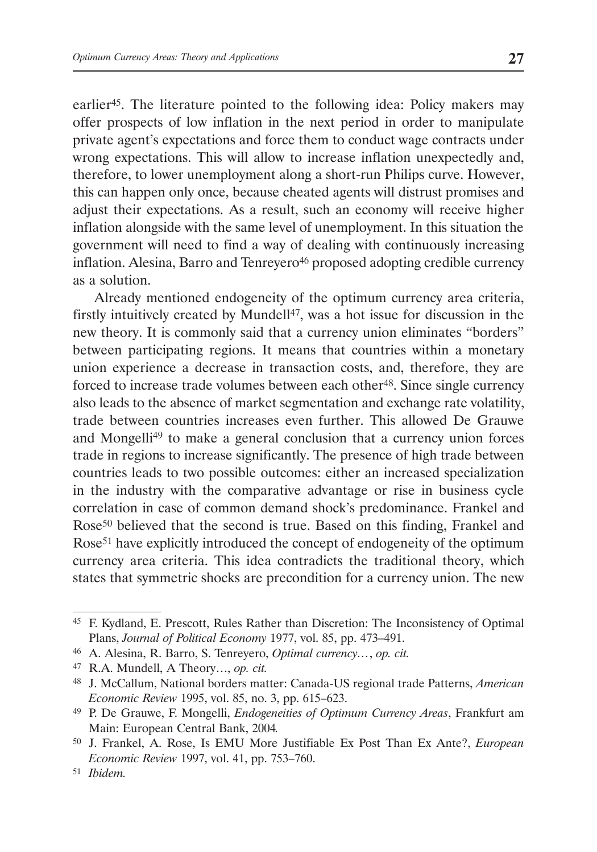earlier45. The literature pointed to the following idea: Policy makers may offer prospects of low inflation in the next period in order to manipulate private agent's expectations and force them to conduct wage contracts under wrong expectations. This will allow to increase inflation unexpectedly and, therefore, to lower unemployment along a short-run Philips curve. However, this can happen only once, because cheated agents will distrust promises and adjust their expectations. As a result, such an economy will receive higher inflation alongside with the same level of unemployment. In this situation the government will need to find a way of dealing with continuously increasing inflation. Alesina, Barro and Tenreyero<sup>46</sup> proposed adopting credible currency as a solution.

Already mentioned endogeneity of the optimum currency area criteria, firstly intuitively created by Mundell<sup>47</sup>, was a hot issue for discussion in the new theory. It is commonly said that a currency union eliminates "borders" between participating regions. It means that countries within a monetary union experience a decrease in transaction costs, and, therefore, they are forced to increase trade volumes between each other<sup>48</sup>. Since single currency also leads to the absence of market segmentation and exchange rate volatility, trade between countries increases even further. This allowed De Grauwe and Mongelli49 to make a general conclusion that a currency union forces trade in regions to increase significantly. The presence of high trade between countries leads to two possible outcomes: either an increased specialization in the industry with the comparative advantage or rise in business cycle correlation in case of common demand shock's predominance. Frankel and Rose50 believed that the second is true. Based on this finding, Frankel and Rose<sup>51</sup> have explicitly introduced the concept of endogeneity of the optimum currency area criteria. This idea contradicts the traditional theory, which states that symmetric shocks are precondition for a currency union. The new

<sup>45</sup> F. Kydland, E. Prescott, Rules Rather than Discretion: The Inconsistency of Optimal Plans, *Journal of Political Economy* 1977, vol. 85, pp. 473–491.

<sup>46</sup> A. Alesina, R. Barro, S. Tenreyero, *Optimal currency…*, *op. cit.*

<sup>47</sup> R.A. Mundell, A Theory…, *op. cit.*

<sup>48</sup> J. McCallum, National borders matter: Canada-US regional trade Patterns, *American Economic Review* 1995, vol. 85, no. 3, pp. 615–623.

<sup>49</sup> P. De Grauwe, F. Mongelli, *Endogeneities of Optimum Currency Areas*, Frankfurt am Main: European Central Bank, 2004*.*

<sup>50</sup> J. Frankel, A. Rose, Is EMU More Justifiable Ex Post Than Ex Ante?, *European Economic Review* 1997, vol. 41, pp. 753–760.

<sup>51</sup> *Ibidem.*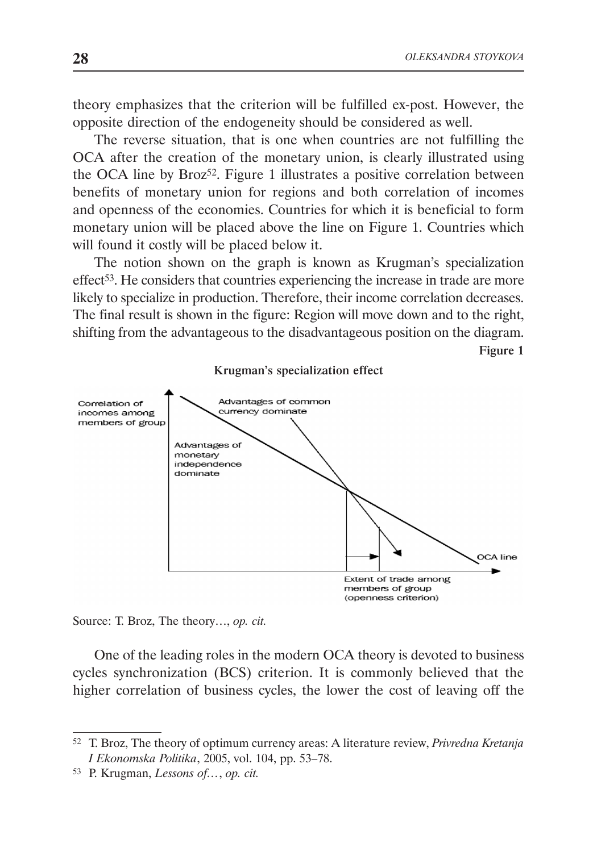Figure 1

theory emphasizes that the criterion will be fulfilled ex-post. However, the opposite direction of the endogeneity should be considered as well.

The reverse situation, that is one when countries are not fulfilling the OCA after the creation of the monetary union, is clearly illustrated using the OCA line by Broz<sup>52</sup>. Figure 1 illustrates a positive correlation between benefits of monetary union for regions and both correlation of incomes and openness of the economies. Countries for which it is beneficial to form monetary union will be placed above the line on Figure 1. Countries which will found it costly will be placed below it.

The notion shown on the graph is known as Krugman's specialization effect53. He considers that countries experiencing the increase in trade are more likely to specialize in production. Therefore, their income correlation decreases. The final result is shown in the figure: Region will move down and to the right, shifting from the advantageous to the disadvantageous position on the diagram.

Krugman's specialization effect Advantages of common Correlation of incomes among currency dominate members of group Advantages of monetary independence dominate OCA line Extent of trade among members of group (openness criterion)

Source: T. Broz, The theory…, *op. cit.*

One of the leading roles in the modern OCA theory is devoted to business cycles synchronization (BCS) criterion. It is commonly believed that the higher correlation of business cycles, the lower the cost of leaving off the

<sup>52</sup> T. Broz, The theory of optimum currency areas: A literature review, *Privredna Kretanja I Ekonomska Politika*, 2005, vol. 104, pp. 53–78.

<sup>53</sup> P. Krugman, *Lessons of…*, *op. cit.*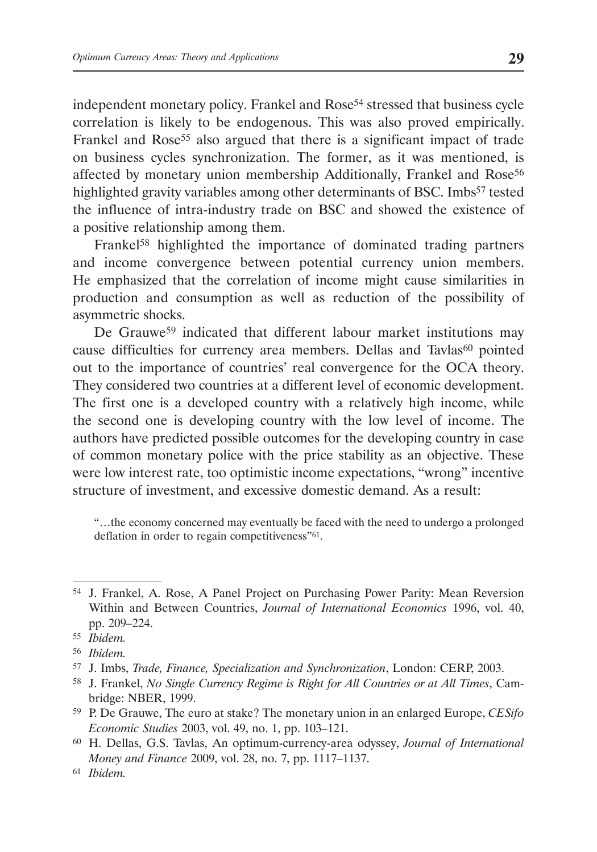independent monetary policy. Frankel and Rose<sup>54</sup> stressed that business cycle correlation is likely to be endogenous. This was also proved empirically. Frankel and Rose<sup>55</sup> also argued that there is a significant impact of trade on business cycles synchronization. The former, as it was mentioned, is affected by monetary union membership Additionally, Frankel and Rose<sup>56</sup> highlighted gravity variables among other determinants of BSC. Imbs<sup>57</sup> tested the influence of intra-industry trade on BSC and showed the existence of a positive relationship among them.

Frankel<sup>58</sup> highlighted the importance of dominated trading partners and income convergence between potential currency union members. He emphasized that the correlation of income might cause similarities in production and consumption as well as reduction of the possibility of asymmetric shocks.

De Grauwe<sup>59</sup> indicated that different labour market institutions may cause difficulties for currency area members. Dellas and Tavlas<sup>60</sup> pointed out to the importance of countries' real convergence for the OCA theory. They considered two countries at a different level of economic development. The first one is a developed country with a relatively high income, while the second one is developing country with the low level of income. The authors have predicted possible outcomes for the developing country in case of common monetary police with the price stability as an objective. These were low interest rate, too optimistic income expectations, "wrong" incentive structure of investment, and excessive domestic demand. As a result:

"…the economy concerned may eventually be faced with the need to undergo a prolonged deflation in order to regain competitiveness"<sup>61</sup>.

<sup>54</sup> J. Frankel, A. Rose, A Panel Project on Purchasing Power Parity: Mean Reversion Within and Between Countries, *Journal of International Economics* 1996, vol. 40, pp. 209–224.

<sup>55</sup> *Ibidem.*

<sup>56</sup> *Ibidem.*

<sup>57</sup> J. Imbs, *Trade, Finance, Specialization and Synchronization*, London: CERP, 2003.

<sup>58</sup> J. Frankel, *No Single Currency Regime is Right for All Countries or at All Times*, Cambridge: NBER, 1999.

<sup>59</sup> P. De Grauwe, The euro at stake? The monetary union in an enlarged Europe, *CESifo Economic Studies* 2003, vol. 49, no. 1, pp. 103–121.

<sup>60</sup> H. Dellas, G.S. Tavlas, An optimum-currency-area odyssey, *Journal of International Money and Finance* 2009, vol. 28, no. 7, pp. 1117–1137.

<sup>61</sup> *Ibidem.*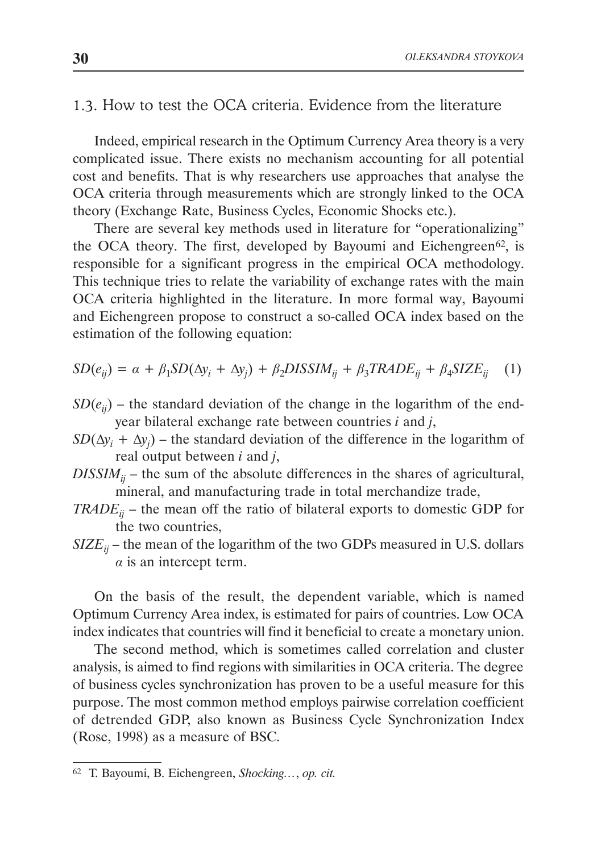#### 1.3. How to test the OCA criteria. Evidence from the literature

Indeed, empirical research in the Optimum Currency Area theory is a very complicated issue. There exists no mechanism accounting for all potential cost and benefits. That is why researchers use approaches that analyse the OCA criteria through measurements which are strongly linked to the OCA theory (Exchange Rate, Business Cycles, Economic Shocks etc.).

There are several key methods used in literature for "operationalizing" the OCA theory. The first, developed by Bayoumi and Eichengreen<sup>62</sup>, is responsible for a significant progress in the empirical OCA methodology. This technique tries to relate the variability of exchange rates with the main OCA criteria highlighted in the literature. In more formal way, Bayoumi and Eichengreen propose to construct a so-called OCA index based on the estimation of the following equation:

$$
SD(e_{ij}) = \alpha + \beta_1 SD(\Delta y_i + \Delta y_j) + \beta_2 DISSIM_{ij} + \beta_3 TRADE_{ij} + \beta_4 SIZE_{ij} \quad (1)
$$

- $SD(e_{ij})$  the standard deviation of the change in the logarithm of the endyear bilateral exchange rate between countries *i* and *j*,
- $SD(\Delta y_i + \Delta y_j)$  the standard deviation of the difference in the logarithm of real output between *i* and *j*,
- $DISSIM_{ii}$  the sum of the absolute differences in the shares of agricultural, mineral, and manufacturing trade in total merchandize trade,
- *TRADE<sub>ij</sub>* the mean off the ratio of bilateral exports to domestic GDP for the two countries,
- $SIZE_{ii}$  the mean of the logarithm of the two GDPs measured in U.S. dollars *α* is an intercept term.

On the basis of the result, the dependent variable, which is named Optimum Currency Area index, is estimated for pairs of countries. Low OCA index indicates that countries will find it beneficial to create a monetary union.

The second method, which is sometimes called correlation and cluster analysis, is aimed to find regions with similarities in OCA criteria. The degree of business cycles synchronization has proven to be a useful measure for this purpose. The most common method employs pairwise correlation coefficient of detrended GDP, also known as Business Cycle Synchronization Index (Rose, 1998) as a measure of BSC.

<sup>62</sup> T. Bayoumi, B. Eichengreen, *Shocking…*, *op. cit.*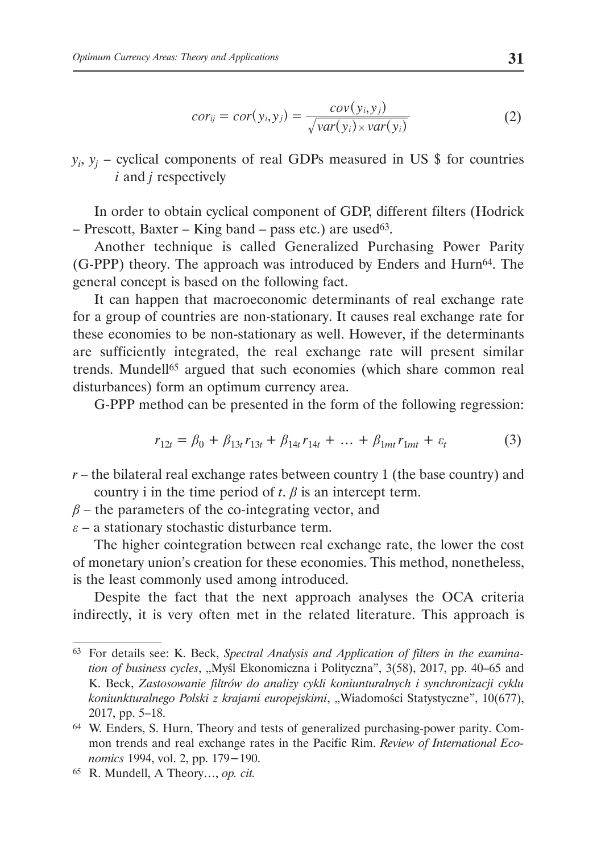$$
cor_{ij} = cor(y_i, y_j) = \frac{cov(y_i, y_j)}{\sqrt{var(y_i)} \times var(y_i)}
$$
(2)

 $y_i$ ,  $y_j$  – cyclical components of real GDPs measured in US \$ for countries *i* and *j* respectively

In order to obtain cyclical component of GDP, different filters (Hodrick – Prescott, Baxter – King band – pass etc.) are used<sup>63</sup>.

Another technique is called Generalized Purchasing Power Parity (G-PPP) theory. The approach was introduced by Enders and Hurn64. The general concept is based on the following fact.

It can happen that macroeconomic determinants of real exchange rate for a group of countries are non-stationary. It causes real exchange rate for these economies to be non-stationary as well. However, if the determinants are sufficiently integrated, the real exchange rate will present similar trends. Mundell<sup>65</sup> argued that such economies (which share common real disturbances) form an optimum currency area.

G-PPP method can be presented in the form of the following regression:

$$
r_{12t} = \beta_0 + \beta_{13t} r_{13t} + \beta_{14t} r_{14t} + \dots + \beta_{1mt} r_{1mt} + \varepsilon_t
$$
 (3)

*r* – the bilateral real exchange rates between country 1 (the base country) and country i in the time period of  $t$ .  $\beta$  is an intercept term.

 $\beta$  – the parameters of the co-integrating vector, and

*ε* – a stationary stochastic disturbance term.

The higher cointegration between real exchange rate, the lower the cost of monetary union's creation for these economies. This method, nonetheless, is the least commonly used among introduced.

Despite the fact that the next approach analyses the OCA criteria indirectly, it is very often met in the related literature. This approach is

<sup>63</sup> For details see: K. Beck, *Spectral Analysis and Application of filters in the examina*tion of business cycles, "Myśl Ekonomiczna i Polityczna", 3(58), 2017, pp. 40–65 and K. Beck, *Zastosowanie filtrów do analizy cykli koniunturalnych i synchronizacji cyklu koniunkturalnego Polski z krajami europejskimi*, "Wiadomości Statystyczne", 10(677), 2017, pp. 5–18.

<sup>64</sup> W. Enders, S. Hurn, Theory and tests of generalized purchasing-power parity. Common trends and real exchange rates in the Pacific Rim. *Review of International Economics* 1994, vol. 2, pp. 179−190.

<sup>65</sup> R. Mundell, A Theory…, *op. cit.*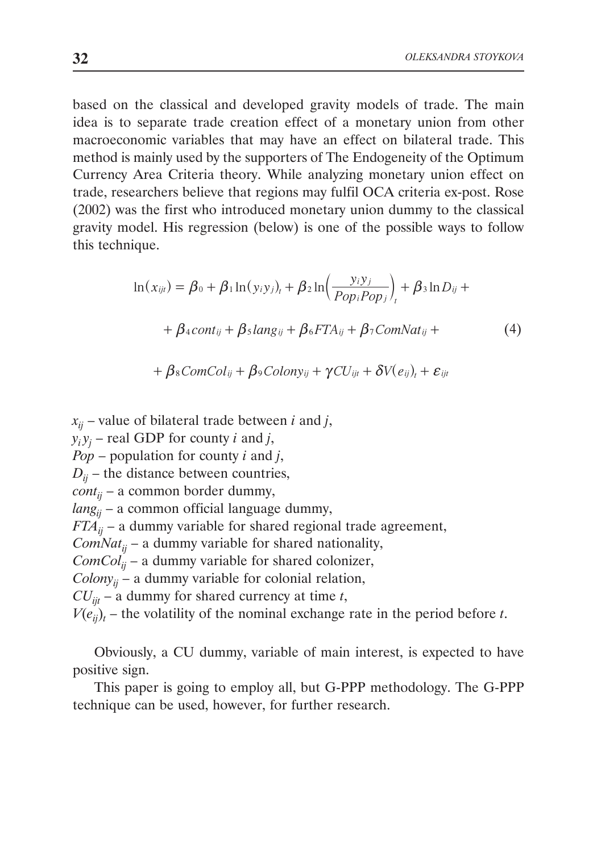based on the classical and developed gravity models of trade. The main idea is to separate trade creation effect of a monetary union from other macroeconomic variables that may have an effect on bilateral trade. This method is mainly used by the supporters of The Endogeneity of the Optimum Currency Area Criteria theory. While analyzing monetary union effect on trade, researchers believe that regions may fulfil OCA criteria ex-post. Rose (2002) was the first who introduced monetary union dummy to the classical gravity model. His regression (below) is one of the possible ways to follow this technique.

$$
\ln(x_{ijt}) = \beta_0 + \beta_1 \ln(y_i y_j)_t + \beta_2 \ln\left(\frac{y_i y_j}{Pop_i Pop_j}\right)_t + \beta_3 \ln D_{ij} +
$$

$$
+ \beta_4 cont_{ij} + \beta_5 lang_{ij} + \beta_6 FTA_{ij} + \beta_7 ComNat_{ij} +
$$
(4)

$$
+\beta_{8}ComCol_{ij}+\beta_{9}Colony_{ij}+\gamma CU_{ijt}+\delta V(e_{ij})_{t}+\varepsilon_{ijt}
$$

 $x_{ii}$  – value of bilateral trade between *i* and *j*,  $y_i y_j$  – real GDP for county *i* and *j*, *Pop* – population for county *i* and *j*,  $D_{ii}$  – the distance between countries,  $\text{cont}_{ii}$  – a common border dummy, *langij* – a common official language dummy,  $FTA_{ii}$  – a dummy variable for shared regional trade agreement, *ComNat<sub>ij</sub>* – a dummy variable for shared nationality,  $ComCol<sub>ii</sub>$  – a dummy variable for shared colonizer,  $Colony_{ii}$  – a dummy variable for colonial relation,  $CU_{\text{fit}}$  – a dummy for shared currency at time *t*,  $V(e_{ij})_t$  – the volatility of the nominal exchange rate in the period before *t*.

Obviously, a CU dummy, variable of main interest, is expected to have positive sign.

This paper is going to employ all, but G-PPP methodology. The G-PPP technique can be used, however, for further research.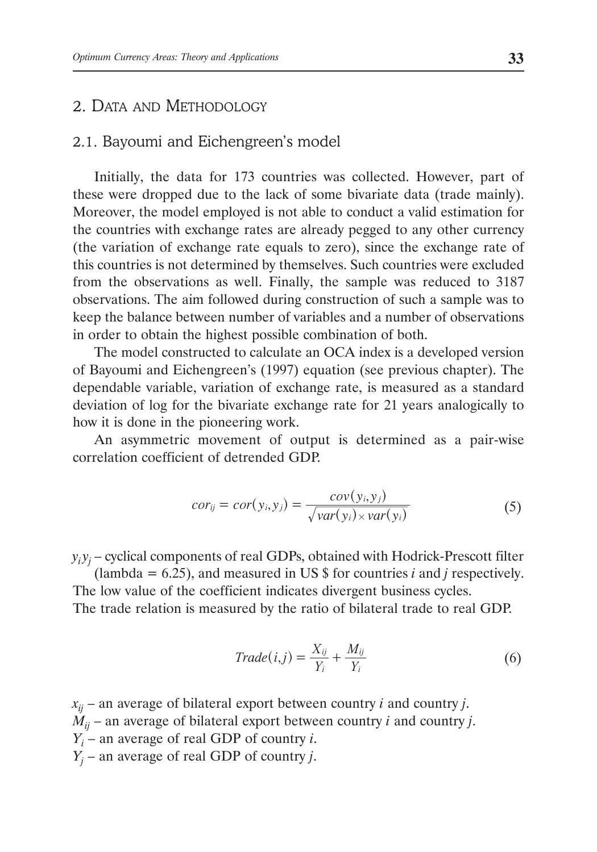## 2. Data and Methodology

## 2.1. Bayoumi and Eichengreen's model

Initially, the data for 173 countries was collected. However, part of these were dropped due to the lack of some bivariate data (trade mainly). Moreover, the model employed is not able to conduct a valid estimation for the countries with exchange rates are already pegged to any other currency (the variation of exchange rate equals to zero), since the exchange rate of this countries is not determined by themselves. Such countries were excluded from the observations as well. Finally, the sample was reduced to 3187 observations. The aim followed during construction of such a sample was to keep the balance between number of variables and a number of observations in order to obtain the highest possible combination of both.

The model constructed to calculate an OCA index is a developed version of Bayoumi and Eichengreen's (1997) equation (see previous chapter). The dependable variable, variation of exchange rate, is measured as a standard deviation of log for the bivariate exchange rate for 21 years analogically to how it is done in the pioneering work.

An asymmetric movement of output is determined as a pair-wise correlation coefficient of detrended GDP.

$$
cor_{ij} = cor(y_i, y_j) = \frac{cov(y_i, y_j)}{\sqrt{var(y_i)} \times var(y_i)}
$$
(5)

 $y_i y_j$  – cyclical components of real GDPs, obtained with Hodrick-Prescott filter

(lambda =  $6.25$ ), and measured in US  $\frac{1}{2}$  for countries *i* and *j* respectively. The low value of the coefficient indicates divergent business cycles. The trade relation is measured by the ratio of bilateral trade to real GDP.

$$
Trade(i,j) = \frac{X_{ij}}{Y_i} + \frac{M_{ij}}{Y_i}
$$
\n
$$
(6)
$$

 $x_{ii}$  – an average of bilateral export between country *i* and country *j*.  $\dot{M}_{ii}$  – an average of bilateral export between country *i* and country *j*. *Yi* – an average of real GDP of country *i*. *Yj* – an average of real GDP of country *j*.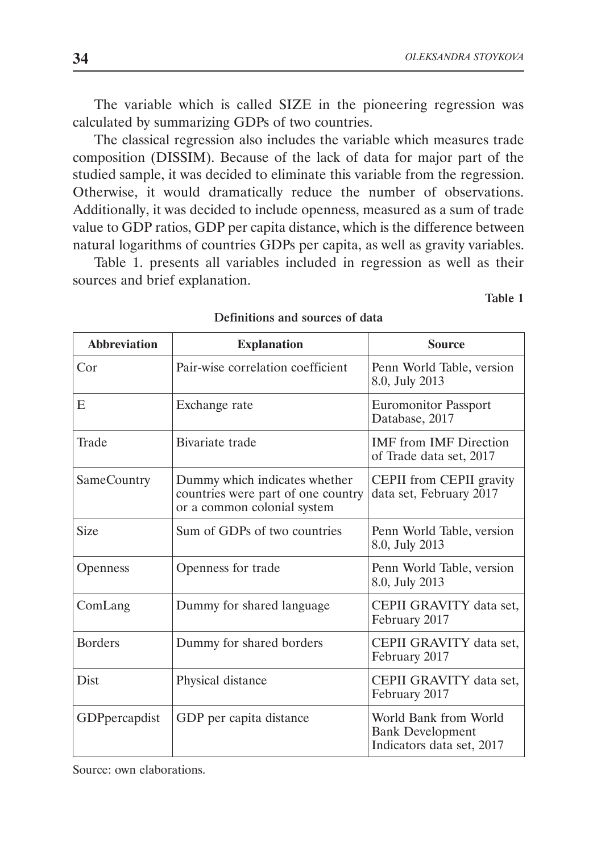The variable which is called SIZE in the pioneering regression was calculated by summarizing GDPs of two countries.

The classical regression also includes the variable which measures trade composition (DISSIM). Because of the lack of data for major part of the studied sample, it was decided to eliminate this variable from the regression. Otherwise, it would dramatically reduce the number of observations. Additionally, it was decided to include openness, measured as a sum of trade value to GDP ratios, GDP per capita distance, which is the difference between natural logarithms of countries GDPs per capita, as well as gravity variables.

Table 1. presents all variables included in regression as well as their sources and brief explanation.

Table 1

| <b>Abbreviation</b>   | <b>Explanation</b>                                                                                 | Source                                                                        |
|-----------------------|----------------------------------------------------------------------------------------------------|-------------------------------------------------------------------------------|
| Cor                   | Pair-wise correlation coefficient                                                                  | Penn World Table, version<br>8.0, July 2013                                   |
| E                     | Exchange rate                                                                                      | <b>Euromonitor Passport</b><br>Database, 2017                                 |
| Trade                 | Bivariate trade                                                                                    | <b>IMF</b> from <b>IMF</b> Direction<br>of Trade data set, 2017               |
| SameCountry           | Dummy which indicates whether<br>countries were part of one country<br>or a common colonial system | CEPII from CEPII gravity<br>data set, February 2017                           |
| <b>Size</b>           | Sum of GDPs of two countries                                                                       | Penn World Table, version<br>8.0, July 2013                                   |
| Openness              | Openness for trade                                                                                 | Penn World Table, version<br>8.0, July 2013                                   |
| ComLang               | Dummy for shared language                                                                          | CEPII GRAVITY data set.<br>February 2017                                      |
| <b>Borders</b>        | Dummy for shared borders                                                                           | CEPII GRAVITY data set.<br>February 2017                                      |
| <b>Dist</b>           | Physical distance                                                                                  | CEPII GRAVITY data set,<br>February 2017                                      |
| <b>GDP</b> percapdist | GDP per capita distance                                                                            | World Bank from World<br><b>Bank Development</b><br>Indicators data set, 2017 |

Definitions and sources of data

Source: own elaborations.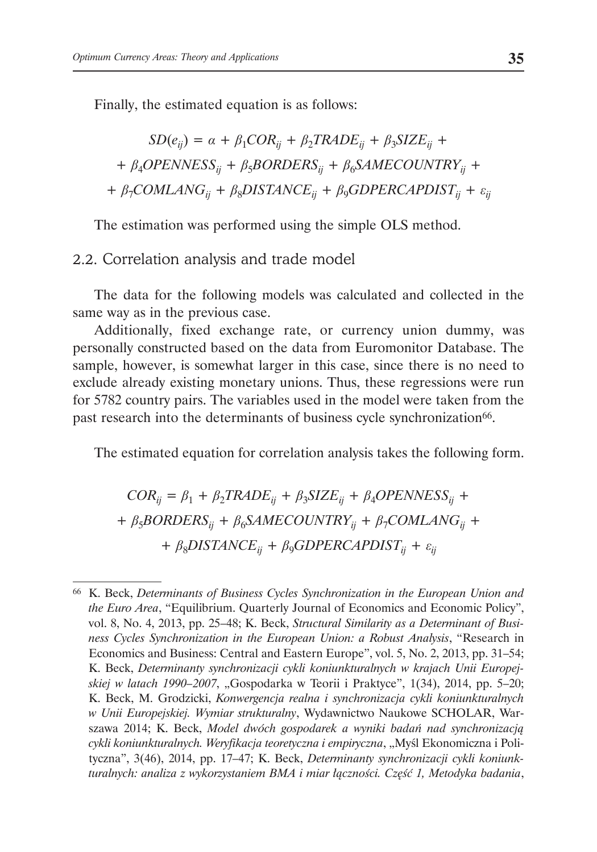Finally, the estimated equation is as follows:

$$
SD(e_{ij}) = \alpha + \beta_1 COR_{ij} + \beta_2 TRADE_{ij} + \beta_3 SIZE_{ij} +
$$
  
+  $\beta_4 OPENNESS_{ij} + \beta_5 BORDERS_{ij} + \beta_6 SAMECOUNTRY_{ij} +$   
+  $\beta_7 COMLANG_{ij} + \beta_8 DISTANCE_{ij} + \beta_9 GDPERCAPDIST_{ij} + \varepsilon_{ij}$ 

The estimation was performed using the simple OLS method.

2.2. Correlation analysis and trade model

The data for the following models was calculated and collected in the same way as in the previous case.

Additionally, fixed exchange rate, or currency union dummy, was personally constructed based on the data from Euromonitor Database. The sample, however, is somewhat larger in this case, since there is no need to exclude already existing monetary unions. Thus, these regressions were run for 5782 country pairs. The variables used in the model were taken from the past research into the determinants of business cycle synchronization<sup>66</sup>.

The estimated equation for correlation analysis takes the following form.

 $COR_{ii} = \beta_1 + \beta_2$ *TRADE<sub>ij</sub>* +  $\beta_3$ *SIZE<sub>ij</sub>* +  $\beta_4$ *OPENNESS<sub>ij</sub>* + +  $\beta_5 BORDERS_{ii} + \beta_6 SAMECOUNTRY_{ii} + \beta_7 COMLAND_{ii}$  + +  $\beta_8$ *DISTANCE<sub>ij</sub>* +  $\beta_9$ *GDPERCAPDIST<sub>ij</sub>* +  $\varepsilon_{ij}$ 

<sup>66</sup> K. Beck, *Determinants of Business Cycles Synchronization in the European Union and the Euro Area*, "Equilibrium. Quarterly Journal of Economics and Economic Policy", vol. 8, No. 4, 2013, pp. 25–48; K. Beck, *Structural Similarity as a Determinant of Business Cycles Synchronization in the European Union: a Robust Analysis*, "Research in Economics and Business: Central and Eastern Europe", vol. 5, No. 2, 2013, pp. 31–54; K. Beck, *Determinanty synchronizacji cykli koniunkturalnych w krajach Unii Europejskiej w latach 1990–2007*, "Gospodarka w Teorii i Praktyce", 1(34), 2014, pp. 5–20; K. Beck, M. Grodzicki, *Konwergencja realna i synchronizacja cykli koniunkturalnych w Unii Europejskiej. Wymiar strukturalny*, Wydawnictwo Naukowe SCHOLAR, Warszawa 2014; K. Beck, *Model dwóch gospodarek a wyniki badań nad synchronizacją cykli koniunkturalnych. Weryfikacja teoretyczna i empiryczna*, "Myśl Ekonomiczna i Polityczna", 3(46), 2014, pp. 17–47; K. Beck, *Determinanty synchronizacji cykli koniunkturalnych: analiza z wykorzystaniem BMA i miar łączności. Część 1, Metodyka badania*,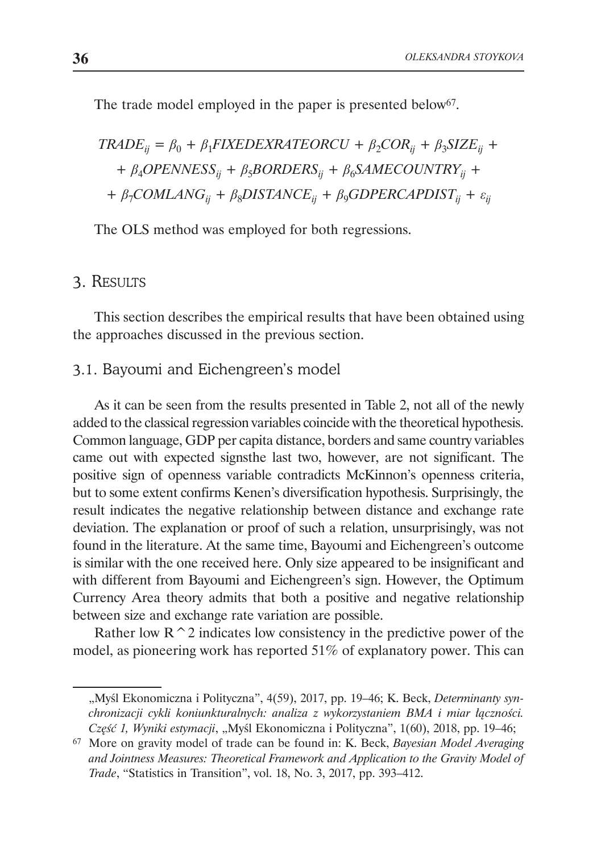The trade model employed in the paper is presented below<sup>67</sup>.

$$
TRADE_{ij} = \beta_0 + \beta_1 FIXEDEXRATEORCU + \beta_2 COR_{ij} + \beta_3 SIZE_{ij} +
$$
  
+  $\beta_4 OPENNESS_{ij} + \beta_5 BORDERS_{ij} + \beta_6 SAMECOUNTRY_{ij} +$   
+  $\beta_7 COMLANG_{ij} + \beta_8 DISTANCE_{ij} + \beta_9 GDPERCAPDIST_{ij} + \varepsilon_{ij}$ 

The OLS method was employed for both regressions.

## 3. Results

This section describes the empirical results that have been obtained using the approaches discussed in the previous section.

## 3.1. Bayoumi and Eichengreen's model

As it can be seen from the results presented in Table 2, not all of the newly added to the classical regression variables coincide with the theoretical hypothesis. Common language, GDP per capita distance, borders and same country variables came out with expected signsthe last two, however, are not significant. The positive sign of openness variable contradicts McKinnon's openness criteria, but to some extent confirms Kenen's diversification hypothesis. Surprisingly, the result indicates the negative relationship between distance and exchange rate deviation. The explanation or proof of such a relation, unsurprisingly, was not found in the literature. At the same time, Bayoumi and Eichengreen's outcome is similar with the one received here. Only size appeared to be insignificant and with different from Bayoumi and Eichengreen's sign. However, the Optimum Currency Area theory admits that both a positive and negative relationship between size and exchange rate variation are possible.

Rather low  $R^2$  indicates low consistency in the predictive power of the model, as pioneering work has reported 51% of explanatory power. This can

<sup>&</sup>quot;Myśl Ekonomiczna i Polityczna", 4(59), 2017, pp. 19–46; K. Beck, *Determinanty synchronizacji cykli koniunkturalnych: analiza z wykorzystaniem BMA i miar łączności. Część 1, Wyniki estymacji*, "Myśl Ekonomiczna i Polityczna", 1(60), 2018, pp. 19–46;

<sup>67</sup> More on gravity model of trade can be found in: K. Beck, *Bayesian Model Averaging and Jointness Measures: Theoretical Framework and Application to the Gravity Model of Trade*, "Statistics in Transition", vol. 18, No. 3, 2017, pp. 393–412.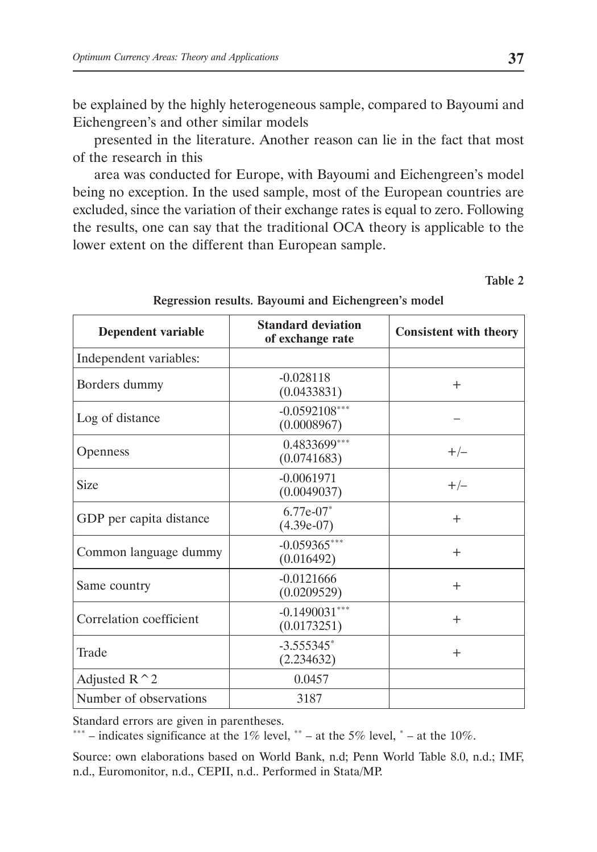be explained by the highly heterogeneous sample, compared to Bayoumi and Eichengreen's and other similar models

presented in the literature. Another reason can lie in the fact that most of the research in this

area was conducted for Europe, with Bayoumi and Eichengreen's model being no exception. In the used sample, most of the European countries are excluded, since the variation of their exchange rates is equal to zero. Following the results, one can say that the traditional OCA theory is applicable to the lower extent on the different than European sample.

Table 2

| <b>Dependent variable</b> | <b>Standard deviation</b><br>of exchange rate | <b>Consistent with theory</b> |
|---------------------------|-----------------------------------------------|-------------------------------|
| Independent variables:    |                                               |                               |
| Borders dummy             | $-0.028118$<br>(0.0433831)                    | $^{+}$                        |
| Log of distance           | $-0.0592108***$<br>(0.0008967)                |                               |
| <b>Openness</b>           | 0.4833699***<br>(0.0741683)                   | $+/-$                         |
| Size                      | $-0.0061971$<br>(0.0049037)                   | $+/-$                         |
| GDP per capita distance   | $6.77e-07*$<br>$(4.39e-07)$                   | $^{+}$                        |
| Common language dummy     | $-0.059365***$<br>(0.016492)                  | $^{+}$                        |
| Same country              | $-0.0121666$<br>(0.0209529)                   | $^{+}$                        |
| Correlation coefficient   | $-0.1490031***$<br>(0.0173251)                | $^{+}$                        |
| Trade                     | $-3.555345$ *<br>(2.234632)                   | $\div$                        |
| Adjusted $R^2$            | 0.0457                                        |                               |
| Number of observations    | 3187                                          |                               |

Regression results. Bayoumi and Eichengreen's model

Standard errors are given in parentheses.

\*\*\* – indicates significance at the 1% level, \*\* – at the 5% level,  $*$  – at the 10%.

Source: own elaborations based on World Bank, n.d; Penn World Table 8.0, n.d.; IMF, n.d., Euromonitor, n.d., CEPII, n.d.. Performed in Stata/MP.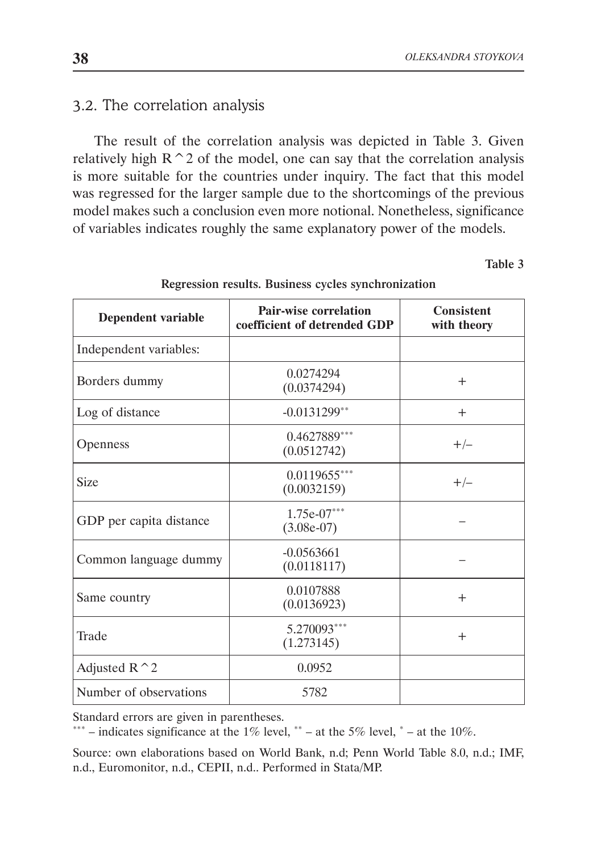# 3.2. The correlation analysis

The result of the correlation analysis was depicted in Table 3. Given relatively high  $R^2$  of the model, one can say that the correlation analysis is more suitable for the countries under inquiry. The fact that this model was regressed for the larger sample due to the shortcomings of the previous model makes such a conclusion even more notional. Nonetheless, significance of variables indicates roughly the same explanatory power of the models.

Table 3

| Dependent variable      | <b>Pair-wise correlation</b><br>coefficient of detrended GDP | <b>Consistent</b><br>with theory |
|-------------------------|--------------------------------------------------------------|----------------------------------|
| Independent variables:  |                                                              |                                  |
| Borders dummy           | 0.0274294<br>(0.0374294)                                     | $^{+}$                           |
| Log of distance         | $-0.0131299**$                                               | $^{+}$                           |
| <b>Openness</b>         | 0.4627889***<br>(0.0512742)                                  | $+/-$                            |
| <b>Size</b>             | $0.0119655***$<br>(0.0032159)                                | $+/-$                            |
| GDP per capita distance | $1.75e-07***$<br>$(3.08e-07)$                                |                                  |
| Common language dummy   | $-0.0563661$<br>(0.0118117)                                  |                                  |
| Same country            | 0.0107888<br>(0.0136923)                                     | $^{+}$                           |
| Trade                   | 5.270093***<br>(1.273145)                                    | $^{+}$                           |
| Adjusted $R^2$          | 0.0952                                                       |                                  |
| Number of observations  | 5782                                                         |                                  |

Regression results. Business cycles synchronization

Standard errors are given in parentheses.

\*\*\* – indicates significance at the 1% level, \*\* – at the 5% level, \* – at the 10%.

Source: own elaborations based on World Bank, n.d; Penn World Table 8.0, n.d.; IMF, n.d., Euromonitor, n.d., CEPII, n.d.. Performed in Stata/MP.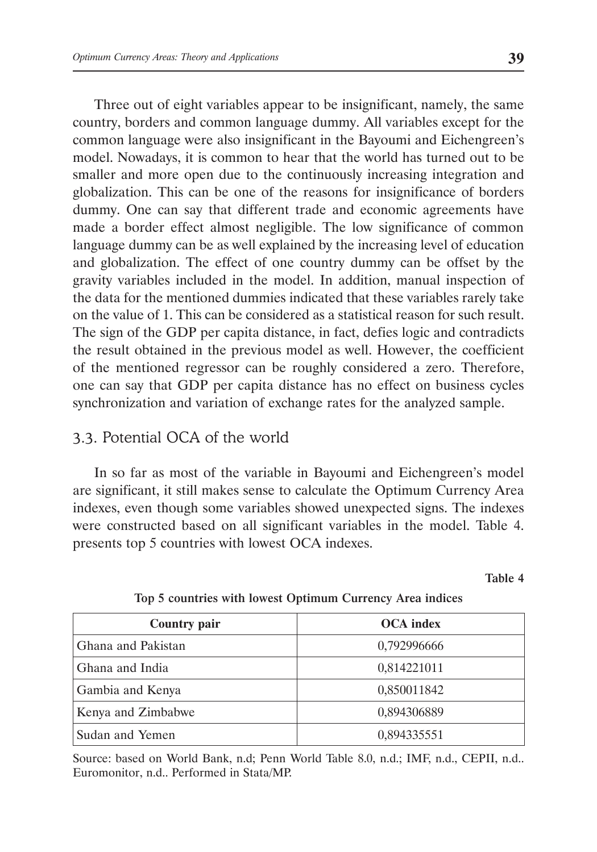Three out of eight variables appear to be insignificant, namely, the same country, borders and common language dummy. All variables except for the common language were also insignificant in the Bayoumi and Eichengreen's model. Nowadays, it is common to hear that the world has turned out to be smaller and more open due to the continuously increasing integration and globalization. This can be one of the reasons for insignificance of borders dummy. One can say that different trade and economic agreements have made a border effect almost negligible. The low significance of common language dummy can be as well explained by the increasing level of education and globalization. The effect of one country dummy can be offset by the gravity variables included in the model. In addition, manual inspection of the data for the mentioned dummies indicated that these variables rarely take on the value of 1. This can be considered as a statistical reason for such result. The sign of the GDP per capita distance, in fact, defies logic and contradicts the result obtained in the previous model as well. However, the coefficient of the mentioned regressor can be roughly considered a zero. Therefore, one can say that GDP per capita distance has no effect on business cycles synchronization and variation of exchange rates for the analyzed sample.

## 3.3. Potential OCA of the world

In so far as most of the variable in Bayoumi and Eichengreen's model are significant, it still makes sense to calculate the Optimum Currency Area indexes, even though some variables showed unexpected signs. The indexes were constructed based on all significant variables in the model. Table 4. presents top 5 countries with lowest OCA indexes.

Table 4

| <b>Country pair</b> | <b>OCA</b> index |
|---------------------|------------------|
| Ghana and Pakistan  | 0,792996666      |
| Ghana and India     | 0,814221011      |
| Gambia and Kenya    | 0,850011842      |
| Kenya and Zimbabwe  | 0,894306889      |
| Sudan and Yemen     | 0,894335551      |

#### Top 5 countries with lowest Optimum Currency Area indices

Source: based on World Bank, n.d; Penn World Table 8.0, n.d.; IMF, n.d., CEPII, n.d.. Euromonitor, n.d.. Performed in Stata/MP.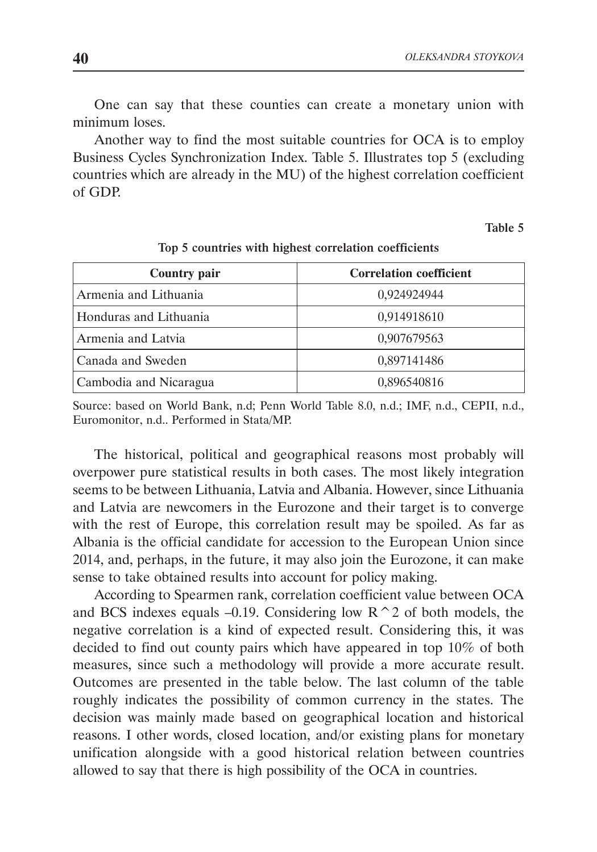One can say that these counties can create a monetary union with minimum loses.

Another way to find the most suitable countries for OCA is to employ Business Cycles Synchronization Index. Table 5. Illustrates top 5 (excluding countries which are already in the MU) of the highest correlation coefficient of GDP.

Table 5

| <b>Country pair</b>    | <b>Correlation coefficient</b> |
|------------------------|--------------------------------|
| Armenia and Lithuania  | 0,924924944                    |
| Honduras and Lithuania | 0,914918610                    |
| Armenia and Latvia     | 0,907679563                    |
| Canada and Sweden      | 0,897141486                    |
| Cambodia and Nicaragua | 0,896540816                    |

Top 5 countries with highest correlation coefficients

Source: based on World Bank, n.d; Penn World Table 8.0, n.d.; IMF, n.d., CEPII, n.d., Euromonitor, n.d.. Performed in Stata/MP.

The historical, political and geographical reasons most probably will overpower pure statistical results in both cases. The most likely integration seems to be between Lithuania, Latvia and Albania. However, since Lithuania and Latvia are newcomers in the Eurozone and their target is to converge with the rest of Europe, this correlation result may be spoiled. As far as Albania is the official candidate for accession to the European Union since 2014, and, perhaps, in the future, it may also join the Eurozone, it can make sense to take obtained results into account for policy making.

According to Spearmen rank, correlation coefficient value between OCA and BCS indexes equals –0.19. Considering low  $R^2$  of both models, the negative correlation is a kind of expected result. Considering this, it was decided to find out county pairs which have appeared in top 10% of both measures, since such a methodology will provide a more accurate result. Outcomes are presented in the table below. The last column of the table roughly indicates the possibility of common currency in the states. The decision was mainly made based on geographical location and historical reasons. I other words, closed location, and/or existing plans for monetary unification alongside with a good historical relation between countries allowed to say that there is high possibility of the OCA in countries.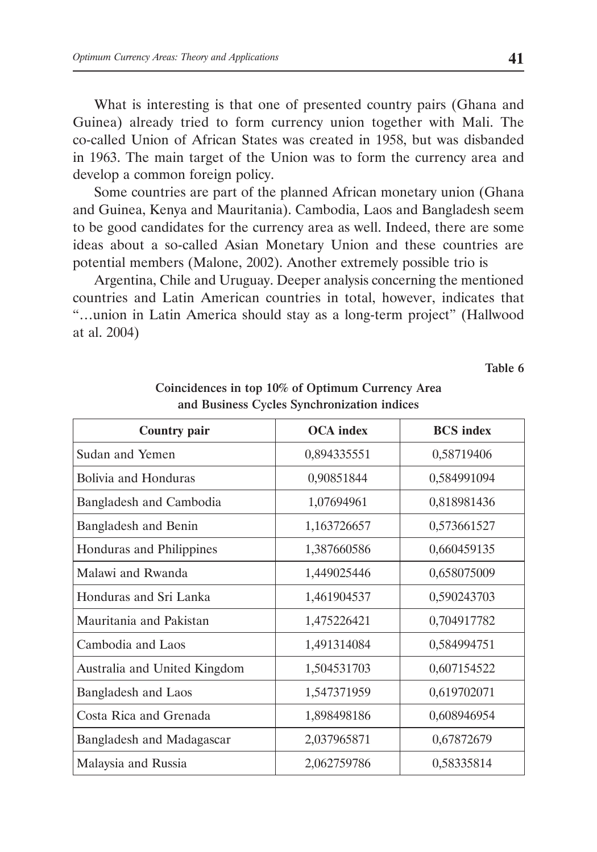What is interesting is that one of presented country pairs (Ghana and Guinea) already tried to form currency union together with Mali. The co-called Union of African States was created in 1958, but was disbanded in 1963. The main target of the Union was to form the currency area and develop a common foreign policy.

Some countries are part of the planned African monetary union (Ghana and Guinea, Kenya and Mauritania). Cambodia, Laos and Bangladesh seem to be good candidates for the currency area as well. Indeed, there are some ideas about a so-called Asian Monetary Union and these countries are potential members (Malone, 2002). Another extremely possible trio is

Argentina, Chile and Uruguay. Deeper analysis concerning the mentioned countries and Latin American countries in total, however, indicates that "…union in Latin America should stay as a long-term project" (Hallwood at al. 2004)

Table 6

| <b>Country pair</b>          | <b>OCA</b> index | <b>BCS</b> index |
|------------------------------|------------------|------------------|
| Sudan and Yemen              | 0,894335551      | 0,58719406       |
| Bolivia and Honduras         | 0,90851844       | 0,584991094      |
| Bangladesh and Cambodia      | 1,07694961       | 0,818981436      |
| Bangladesh and Benin         | 1,163726657      | 0,573661527      |
| Honduras and Philippines     | 1,387660586      | 0,660459135      |
| Malawi and Rwanda            | 1,449025446      | 0,658075009      |
| Honduras and Sri Lanka       | 1,461904537      | 0,590243703      |
| Mauritania and Pakistan      | 1,475226421      | 0,704917782      |
| Cambodia and Laos            | 1,491314084      | 0,584994751      |
| Australia and United Kingdom | 1,504531703      | 0,607154522      |
| Bangladesh and Laos          | 1,547371959      | 0,619702071      |
| Costa Rica and Grenada       | 1,898498186      | 0,608946954      |
| Bangladesh and Madagascar    | 2,037965871      | 0,67872679       |
| Malaysia and Russia          | 2,062759786      | 0,58335814       |

#### Coincidences in top 10% of Optimum Currency Area and Business Cycles Synchronization indices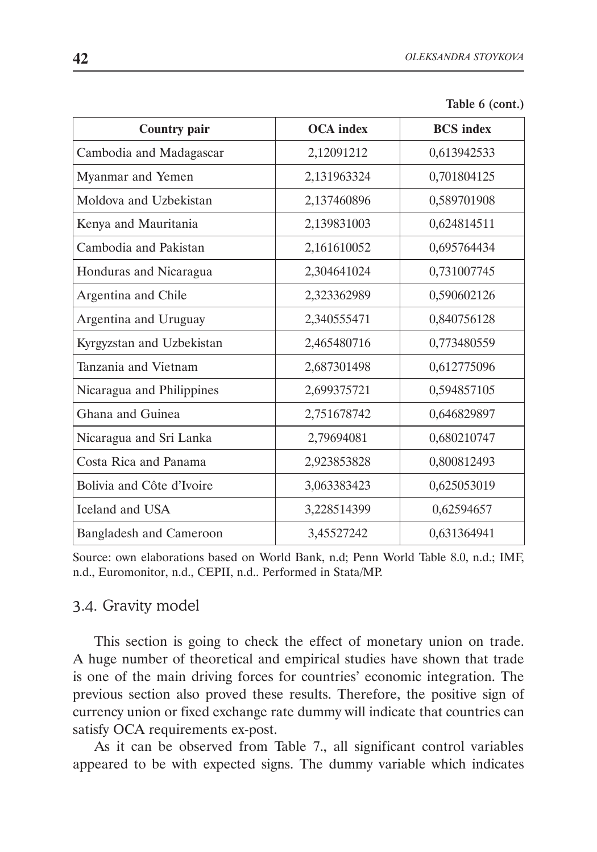| <b>Country pair</b>            | <b>OCA</b> index | <b>BCS</b> index |
|--------------------------------|------------------|------------------|
| Cambodia and Madagascar        | 2,12091212       | 0,613942533      |
| Myanmar and Yemen              | 2,131963324      | 0,701804125      |
| Moldova and Uzbekistan         | 2,137460896      | 0,589701908      |
| Kenya and Mauritania           | 2,139831003      | 0,624814511      |
| Cambodia and Pakistan          | 2,161610052      | 0,695764434      |
| Honduras and Nicaragua         | 2,304641024      | 0,731007745      |
| Argentina and Chile            | 2,323362989      | 0,590602126      |
| Argentina and Uruguay          | 2,340555471      | 0,840756128      |
| Kyrgyzstan and Uzbekistan      | 2,465480716      | 0,773480559      |
| Tanzania and Vietnam           | 2,687301498      | 0,612775096      |
| Nicaragua and Philippines      | 2,699375721      | 0,594857105      |
| Ghana and Guinea               | 2,751678742      | 0,646829897      |
| Nicaragua and Sri Lanka        | 2,79694081       | 0,680210747      |
| Costa Rica and Panama          | 2,923853828      | 0,800812493      |
| Bolivia and Côte d'Ivoire      | 3,063383423      | 0,625053019      |
| Iceland and USA                | 3,228514399      | 0,62594657       |
| <b>Bangladesh and Cameroon</b> | 3,45527242       | 0,631364941      |

| Table 6 (cont.) |  |  |  |
|-----------------|--|--|--|
|-----------------|--|--|--|

Source: own elaborations based on World Bank, n.d; Penn World Table 8.0, n.d.; IMF, n.d., Euromonitor, n.d., CEPII, n.d.. Performed in Stata/MP.

#### 3.4. Gravity model

This section is going to check the effect of monetary union on trade. A huge number of theoretical and empirical studies have shown that trade is one of the main driving forces for countries' economic integration. The previous section also proved these results. Therefore, the positive sign of currency union or fixed exchange rate dummy will indicate that countries can satisfy OCA requirements ex-post.

As it can be observed from Table 7., all significant control variables appeared to be with expected signs. The dummy variable which indicates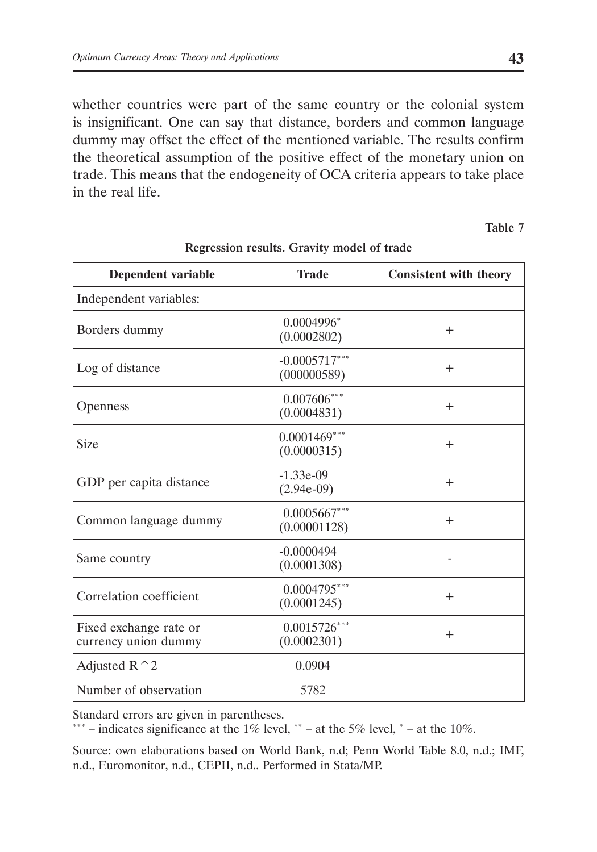whether countries were part of the same country or the colonial system is insignificant. One can say that distance, borders and common language dummy may offset the effect of the mentioned variable. The results confirm the theoretical assumption of the positive effect of the monetary union on trade. This means that the endogeneity of OCA criteria appears to take place in the real life.

Table 7

| <b>Dependent variable</b>                      | <b>Trade</b>                   | <b>Consistent with theory</b> |
|------------------------------------------------|--------------------------------|-------------------------------|
| Independent variables:                         |                                |                               |
| Borders dummy                                  | $0.0004996*$<br>(0.0002802)    | $^{+}$                        |
| Log of distance                                | $-0.0005717***$<br>(000000589) | $^{+}$                        |
| <b>Openness</b>                                | $0.007606***$<br>(0.0004831)   | $^{+}$                        |
| <b>Size</b>                                    | $0.0001469***$<br>(0.0000315)  | $^{+}$                        |
| GDP per capita distance                        | $-1.33e-09$<br>$(2.94e-09)$    | $^{+}$                        |
| Common language dummy                          | $0.0005667***$<br>(0.00001128) | $+$                           |
| Same country                                   | $-0.0000494$<br>(0.0001308)    |                               |
| Correlation coefficient                        | $0.0004795***$<br>(0.0001245)  | $^{+}$                        |
| Fixed exchange rate or<br>currency union dummy | $0.0015726***$<br>(0.0002301)  | $^{+}$                        |
| Adjusted $R^2$                                 | 0.0904                         |                               |
| Number of observation                          | 5782                           |                               |

#### Regression results. Gravity model of trade

Standard errors are given in parentheses.

\*\*\* – indicates significance at the 1% level, \*\* – at the 5% level, \* – at the 10%.

Source: own elaborations based on World Bank, n.d; Penn World Table 8.0, n.d.; IMF, n.d., Euromonitor, n.d., CEPII, n.d.. Performed in Stata/MP.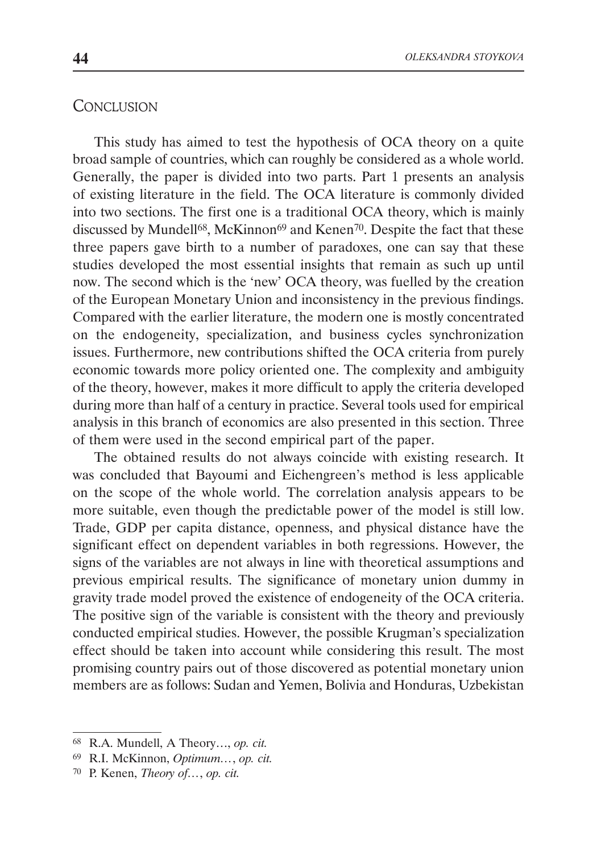## **CONCLUSION**

This study has aimed to test the hypothesis of OCA theory on a quite broad sample of countries, which can roughly be considered as a whole world. Generally, the paper is divided into two parts. Part 1 presents an analysis of existing literature in the field. The OCA literature is commonly divided into two sections. The first one is a traditional OCA theory, which is mainly discussed by Mundell<sup>68</sup>, McKinnon<sup>69</sup> and Kenen<sup>70</sup>. Despite the fact that these three papers gave birth to a number of paradoxes, one can say that these studies developed the most essential insights that remain as such up until now. The second which is the 'new' OCA theory, was fuelled by the creation of the European Monetary Union and inconsistency in the previous findings. Compared with the earlier literature, the modern one is mostly concentrated on the endogeneity, specialization, and business cycles synchronization issues. Furthermore, new contributions shifted the OCA criteria from purely economic towards more policy oriented one. The complexity and ambiguity of the theory, however, makes it more difficult to apply the criteria developed during more than half of a century in practice. Several tools used for empirical analysis in this branch of economics are also presented in this section. Three of them were used in the second empirical part of the paper.

The obtained results do not always coincide with existing research. It was concluded that Bayoumi and Eichengreen's method is less applicable on the scope of the whole world. The correlation analysis appears to be more suitable, even though the predictable power of the model is still low. Trade, GDP per capita distance, openness, and physical distance have the significant effect on dependent variables in both regressions. However, the signs of the variables are not always in line with theoretical assumptions and previous empirical results. The significance of monetary union dummy in gravity trade model proved the existence of endogeneity of the OCA criteria. The positive sign of the variable is consistent with the theory and previously conducted empirical studies. However, the possible Krugman's specialization effect should be taken into account while considering this result. The most promising country pairs out of those discovered as potential monetary union members are as follows: Sudan and Yemen, Bolivia and Honduras, Uzbekistan

<sup>68</sup> R.A. Mundell, A Theory…, *op. cit.*

<sup>69</sup> R.I. McKinnon, *Optimum…*, *op. cit.*

<sup>70</sup> P. Kenen, *Theory of…*, *op. cit.*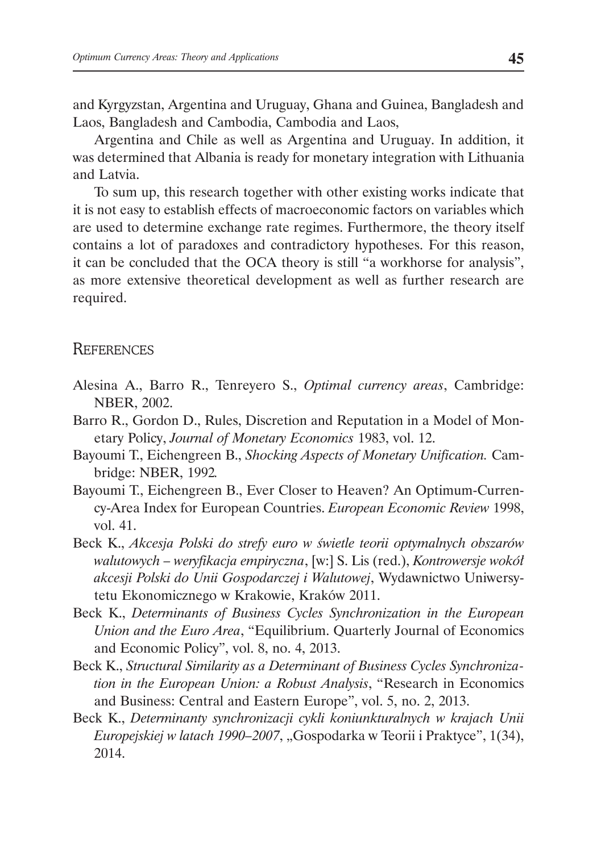and Kyrgyzstan, Argentina and Uruguay, Ghana and Guinea, Bangladesh and Laos, Bangladesh and Cambodia, Cambodia and Laos,

Argentina and Chile as well as Argentina and Uruguay. In addition, it was determined that Albania is ready for monetary integration with Lithuania and Latvia.

To sum up, this research together with other existing works indicate that it is not easy to establish effects of macroeconomic factors on variables which are used to determine exchange rate regimes. Furthermore, the theory itself contains a lot of paradoxes and contradictory hypotheses. For this reason, it can be concluded that the OCA theory is still "a workhorse for analysis", as more extensive theoretical development as well as further research are required.

#### **REFERENCES**

- Alesina A., Barro R., Tenreyero S., *Optimal currency areas*, Cambridge: NBER, 2002.
- Barro R., Gordon D., Rules, Discretion and Reputation in a Model of Monetary Policy, *Journal of Monetary Economics* 1983, vol. 12.
- Bayoumi T., Eichengreen B., *Shocking Aspects of Monetary Unification.* Cambridge: NBER, 1992*.*
- Bayoumi T., Eichengreen B., Ever Closer to Heaven? An Optimum-Currency-Area Index for European Countries. *European Economic Review* 1998, vol. 41.
- Beck K., *Akcesja Polski do strefy euro w świetle teorii optymalnych obszarów walutowych – weryfikacja empiryczna*, [w:] S. Lis (red.), *Kontrowersje wokół akcesji Polski do Unii Gospodarczej i Walutowej*, Wydawnictwo Uniwersytetu Ekonomicznego w Krakowie, Kraków 2011.
- Beck K., *Determinants of Business Cycles Synchronization in the European Union and the Euro Area*, "Equilibrium. Quarterly Journal of Economics and Economic Policy", vol. 8, no. 4, 2013.
- Beck K., *Structural Similarity as a Determinant of Business Cycles Synchronization in the European Union: a Robust Analysis*, "Research in Economics and Business: Central and Eastern Europe", vol. 5, no. 2, 2013.
- Beck K., *Determinanty synchronizacji cykli koniunkturalnych w krajach Unii Europejskiej w latach 1990–2007*, "Gospodarka w Teorii i Praktyce", 1(34), 2014.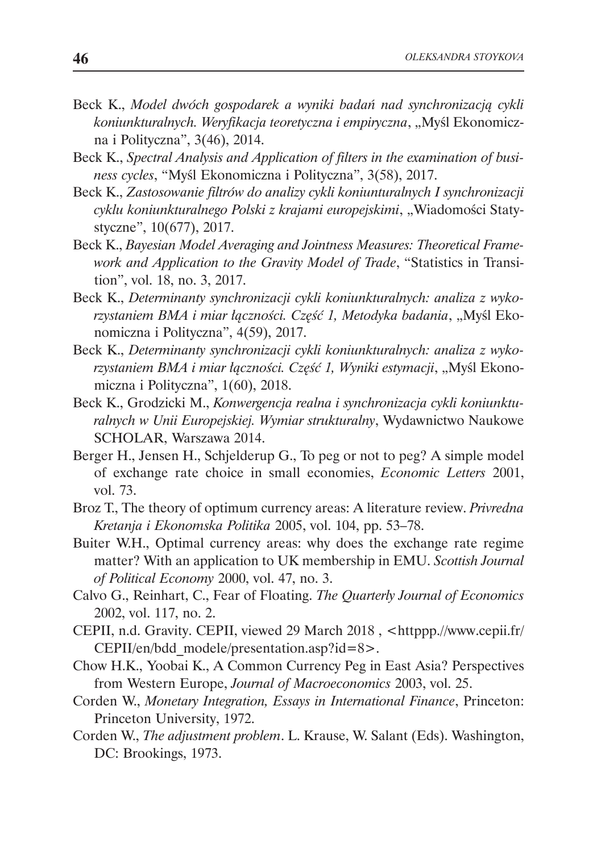- Beck K., *Model dwóch gospodarek a wyniki badań nad synchronizacją cykli koniunkturalnych. Weryfikacja teoretyczna i empiryczna*, "Myśl Ekonomiczna i Polityczna", 3(46), 2014.
- Beck K., *Spectral Analysis and Application of filters in the examination of business cycles*, "Myśl Ekonomiczna i Polityczna", 3(58), 2017.
- Beck K., *Zastosowanie filtrów do analizy cykli koniunturalnych I synchronizacji cyklu koniunkturalnego Polski z krajami europejskimi*, "Wiadomości Statystyczne", 10(677), 2017.
- Beck K., *Bayesian Model Averaging and Jointness Measures: Theoretical Framework and Application to the Gravity Model of Trade*, "Statistics in Transition", vol. 18, no. 3, 2017.
- Beck K., *Determinanty synchronizacji cykli koniunkturalnych: analiza z wykorzystaniem BMA i miar łączności. Część 1, Metodyka badania*, "Myśl Ekonomiczna i Polityczna", 4(59), 2017.
- Beck K., *Determinanty synchronizacji cykli koniunkturalnych: analiza z wyko*rzystaniem BMA i miar łączności. Część 1, Wyniki estymacji, "Myśl Ekonomiczna i Polityczna", 1(60), 2018.
- Beck K., Grodzicki M., *Konwergencja realna i synchronizacja cykli koniunkturalnych w Unii Europejskiej. Wymiar strukturalny*, Wydawnictwo Naukowe SCHOLAR, Warszawa 2014.
- Berger H., Jensen H., Schjelderup G., To peg or not to peg? A simple model of exchange rate choice in small economies, *Economic Letters* 2001, vol. 73.
- Broz T., The theory of optimum currency areas: A literature review. *Privredna Kretanja i Ekonomska Politika* 2005, vol. 104, pp. 53–78.
- Buiter W.H., Optimal currency areas: why does the exchange rate regime matter? With an application to UK membership in EMU. *Scottish Journal of Political Economy* 2000, vol. 47, no. 3.
- Calvo G., Reinhart, C., Fear of Floating. *The Quarterly Journal of Economics*  2002, vol. 117, no. 2.
- CEPII, n.d. Gravity. CEPII, viewed 29 March 2018 , <httppp.//www.cepii.fr/ CEPII/en/bdd\_modele/presentation.asp?id=8>.
- Chow H.K., Yoobai K., A Common Currency Peg in East Asia? Perspectives from Western Europe, *Journal of Macroeconomics* 2003, vol. 25.
- Corden W., *Monetary Integration, Essays in International Finance*, Princeton: Princeton University, 1972.
- Corden W., *The adjustment problem*. L. Krause, W. Salant (Eds). Washington, DC: Brookings, 1973.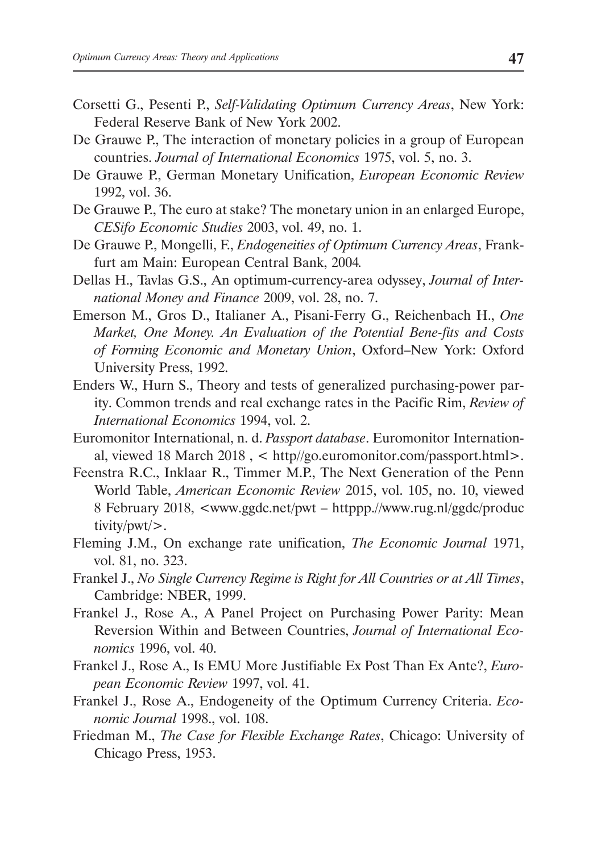- Corsetti G., Pesenti P., *Self-Validating Optimum Currency Areas*, New York: Federal Reserve Bank of New York 2002.
- De Grauwe P., The interaction of monetary policies in a group of European countries. *Journal of International Economics* 1975, vol. 5, no. 3.
- De Grauwe P., German Monetary Unification, *European Economic Review*  1992, vol. 36.
- De Grauwe P., The euro at stake? The monetary union in an enlarged Europe, *CESifo Economic Studies* 2003, vol. 49, no. 1.
- De Grauwe P., Mongelli, F., *Endogeneities of Optimum Currency Areas*, Frankfurt am Main: European Central Bank, 2004*.*
- Dellas H., Tavlas G.S., An optimum-currency-area odyssey, *Journal of International Money and Finance* 2009, vol. 28, no. 7.
- Emerson M., Gros D., Italianer A., Pisani-Ferry G., Reichenbach H., *One Market, One Money. An Evaluation of the Potential Bene-fits and Costs of Forming Economic and Monetary Union*, Oxford–New York: Oxford University Press, 1992.
- Enders W., Hurn S., Theory and tests of generalized purchasing-power parity. Common trends and real exchange rates in the Pacific Rim, *Review of International Economics* 1994, vol. 2.
- Euromonitor International, n. d. *Passport database*. Euromonitor International, viewed 18 March 2018 , < http//go.euromonitor.com/passport.html>.
- Feenstra R.C., Inklaar R., Timmer M.P., The Next Generation of the Penn World Table, *American Economic Review* 2015, vol. 105, no. 10, viewed 8 February 2018, <www.ggdc.net/pwt – httppp.//www.rug.nl/ggdc/produc tivity/pwt/>.
- Fleming J.M., On exchange rate unification, *The Economic Journal* 1971, vol. 81, no. 323.
- Frankel J., *No Single Currency Regime is Right for All Countries or at All Times*, Cambridge: NBER, 1999.
- Frankel J., Rose A., A Panel Project on Purchasing Power Parity: Mean Reversion Within and Between Countries, *Journal of International Economics* 1996, vol. 40.
- Frankel J., Rose A., Is EMU More Justifiable Ex Post Than Ex Ante?, *European Economic Review* 1997, vol. 41.
- Frankel J., Rose A., Endogeneity of the Optimum Currency Criteria. *Economic Journal* 1998., vol. 108.
- Friedman M., *The Case for Flexible Exchange Rates*, Chicago: University of Chicago Press, 1953.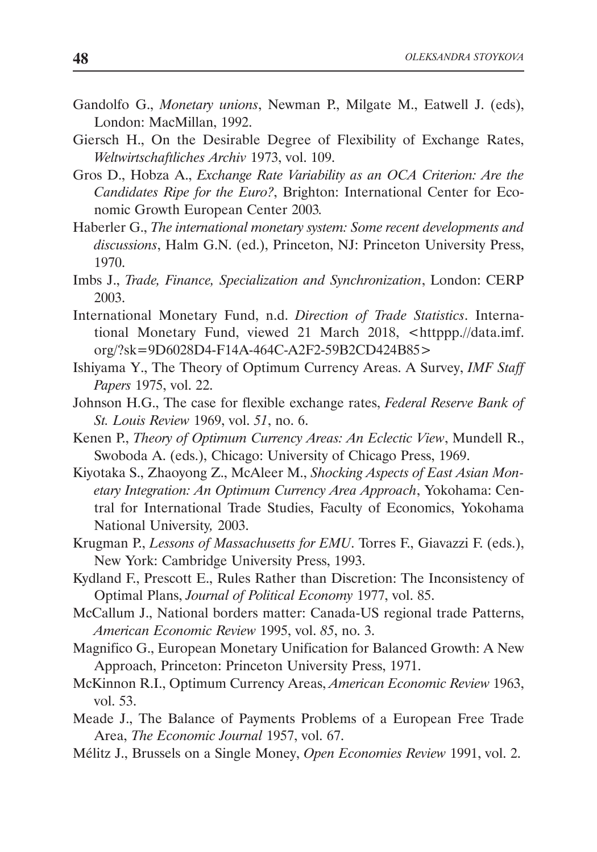- Gandolfo G., *Monetary unions*, Newman P., Milgate M., Eatwell J. (eds), London: MacMillan, 1992.
- Giersch H., On the Desirable Degree of Flexibility of Exchange Rates, *Weltwirtschaftliches Archiv* 1973, vol. 109.
- Gros D., Hobza A., *Exchange Rate Variability as an OCA Criterion: Are the Candidates Ripe for the Euro?*, Brighton: International Center for Economic Growth European Center 2003*.*
- Haberler G., *The international monetary system: Some recent developments and discussions*, Halm G.N. (ed.), Princeton, NJ: Princeton University Press, 1970.
- Imbs J., *Trade, Finance, Specialization and Synchronization*, London: CERP 2003.
- International Monetary Fund, n.d. *Direction of Trade Statistics*. International Monetary Fund, viewed 21 March 2018, <httppp.//data.imf. org/?sk=9D6028D4-F14A-464C-A2F2-59B2CD424B85>
- Ishiyama Y., The Theory of Optimum Currency Areas. A Survey, *IMF Staff Papers* 1975, vol. 22.
- Johnson H.G., The case for flexible exchange rates, *Federal Reserve Bank of St. Louis Review* 1969, vol. *51*, no. 6.
- Kenen P., *Theory of Optimum Currency Areas: An Eclectic View*, Mundell R., Swoboda A. (eds.), Chicago: University of Chicago Press, 1969.
- Kiyotaka S., Zhaoyong Z., McAleer M., *Shocking Aspects of East Asian Monetary Integration: An Optimum Currency Area Approach*, Yokohama: Central for International Trade Studies, Faculty of Economics, Yokohama National University*,* 2003.
- Krugman P., *Lessons of Massachusetts for EMU*. Torres F., Giavazzi F. (eds.), New York: Cambridge University Press, 1993.
- Kydland F., Prescott E., Rules Rather than Discretion: The Inconsistency of Optimal Plans, *Journal of Political Economy* 1977, vol. 85.
- McCallum J., National borders matter: Canada-US regional trade Patterns, *American Economic Review* 1995, vol. *85*, no. 3.
- Magnifico G., European Monetary Unification for Balanced Growth: A New Approach, Princeton: Princeton University Press, 1971.
- McKinnon R.I., Optimum Currency Areas, *American Economic Review* 1963, vol. 53.
- Meade J., The Balance of Payments Problems of a European Free Trade Area, *The Economic Journal* 1957, vol. 67.
- Mélitz J., Brussels on a Single Money, *Open Economies Review* 1991, vol. 2.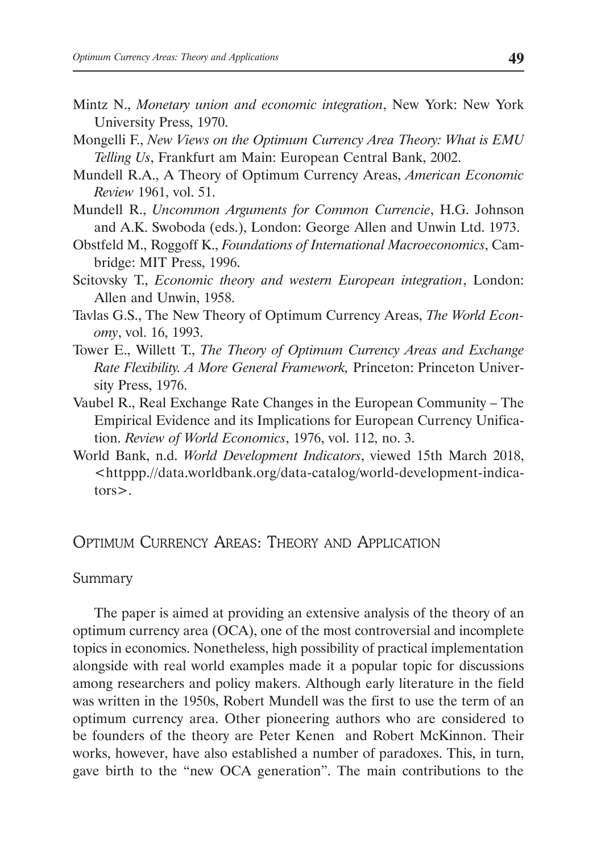- Mintz N., *Monetary union and economic integration*, New York: New York University Press, 1970.
- Mongelli F., *New Views on the Optimum Currency Area Theory: What is EMU Telling Us*, Frankfurt am Main: European Central Bank, 2002.
- Mundell R.A., A Theory of Optimum Currency Areas, *American Economic Review* 1961, vol. 51.
- Mundell R., *Uncommon Arguments for Common Currencie*, H.G. Johnson and A.K. Swoboda (eds.), London: George Allen and Unwin Ltd. 1973.
- Obstfeld M., Roggoff K., *Foundations of International Macroeconomics*, Cambridge: MIT Press, 1996.
- Scitovsky T., *Economic theory and western European integration*, London: Allen and Unwin, 1958.
- Tavlas G.S., The New Theory of Optimum Currency Areas, *The World Economy*, vol. 16, 1993.
- Tower E., Willett T., *The Theory of Optimum Currency Areas and Exchange Rate Flexibility. A More General Framework,* Princeton: Princeton University Press, 1976.
- Vaubel R., Real Exchange Rate Changes in the European Community The Empirical Evidence and its Implications for European Currency Unification. *Review of World Economics*, 1976, vol. 112, no. 3.
- World Bank, n.d. *World Development Indicators*, viewed 15th March 2018, <httppp.//data.worldbank.org/data-catalog/world-development-indicators>.

## Optimum Currency Areas: Theory and Application

#### Summary

The paper is aimed at providing an extensive analysis of the theory of an optimum currency area (OCA), one of the most controversial and incomplete topics in economics. Nonetheless, high possibility of practical implementation alongside with real world examples made it a popular topic for discussions among researchers and policy makers. Although early literature in the field was written in the 1950s, Robert Mundell was the first to use the term of an optimum currency area. Other pioneering authors who are considered to be founders of the theory are Peter Kenen and Robert McKinnon. Their works, however, have also established a number of paradoxes. This, in turn, gave birth to the "new OCA generation". The main contributions to the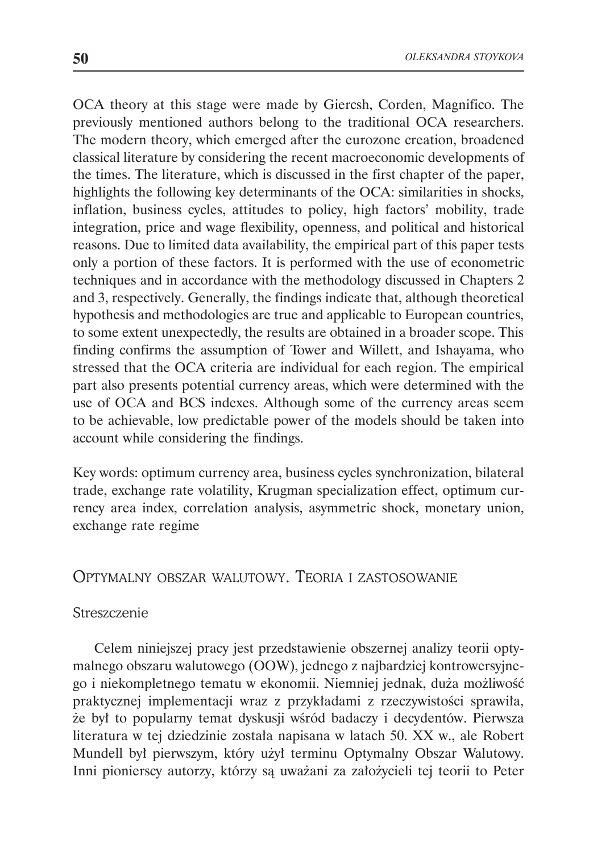OCA theory at this stage were made by Giercsh, Corden, Magnifico. The previously mentioned authors belong to the traditional OCA researchers. The modern theory, which emerged after the eurozone creation, broadened classical literature by considering the recent macroeconomic developments of the times. The literature, which is discussed in the first chapter of the paper, highlights the following key determinants of the OCA: similarities in shocks, inflation, business cycles, attitudes to policy, high factors' mobility, trade integration, price and wage flexibility, openness, and political and historical reasons. Due to limited data availability, the empirical part of this paper tests only a portion of these factors. It is performed with the use of econometric techniques and in accordance with the methodology discussed in Chapters 2 and 3, respectively. Generally, the findings indicate that, although theoretical hypothesis and methodologies are true and applicable to European countries, to some extent unexpectedly, the results are obtained in a broader scope. This finding confirms the assumption of Tower and Willett, and Ishayama, who stressed that the OCA criteria are individual for each region. The empirical part also presents potential currency areas, which were determined with the use of OCA and BCS indexes. Although some of the currency areas seem to be achievable, low predictable power of the models should be taken into account while considering the findings.

Key words: optimum currency area, business cycles synchronization, bilateral trade, exchange rate volatility, Krugman specialization effect, optimum currency area index, correlation analysis, asymmetric shock, monetary union, exchange rate regime

## Optymalny obszar walutowy. Teoria i zastosowanie

## Streszczenie

Celem niniejszej pracy jest przedstawienie obszernej analizy teorii optymalnego obszaru walutowego (OOW), jednego z najbardziej kontrowersyjnego i niekompletnego tematu w ekonomii. Niemniej jednak, duża możliwość praktycznej implementacji wraz z przykładami z rzeczywistości sprawiła, że był to popularny temat dyskusji wśród badaczy i decydentów. Pierwsza literatura w tej dziedzinie została napisana w latach 50. XX w., ale Robert Mundell był pierwszym, który użył terminu Optymalny Obszar Walutowy. Inni pionierscy autorzy, którzy są uważani za założycieli tej teorii to Peter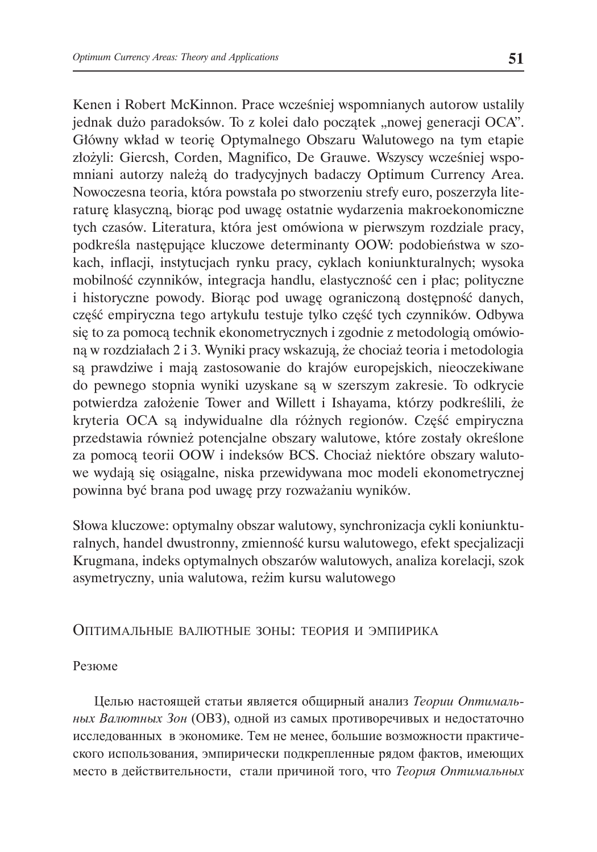Kenen i Robert McKinnon. Prace wcześniej wspomnianych autorow ustalily jednak dużo paradoksów. To z kolei dało początek "nowej generacji OCA". Główny wkład w teorię Optymalnego Obszaru Walutowego na tym etapie złożyli: Giercsh, Corden, Magnifico, De Grauwe. Wszyscy wcześniej wspomniani autorzy należą do tradycyjnych badaczy Optimum Currency Area. Nowoczesna teoria, która powstała po stworzeniu strefy euro, poszerzyła literaturę klasyczną, biorąc pod uwagę ostatnie wydarzenia makroekonomiczne tych czasów. Literatura, która jest omówiona w pierwszym rozdziale pracy, podkreśla następujące kluczowe determinanty OOW: podobieństwa w szokach, inflacji, instytucjach rynku pracy, cyklach koniunkturalnych; wysoka mobilność czynników, integracja handlu, elastyczność cen i płac; polityczne i historyczne powody. Biorąc pod uwagę ograniczoną dostępność danych, część empiryczna tego artykułu testuje tylko część tych czynników. Odbywa się to za pomocą technik ekonometrycznych i zgodnie z metodologią omówioną w rozdziałach 2 i 3. Wyniki pracy wskazują, że chociaż teoria i metodologia są prawdziwe i mają zastosowanie do krajów europejskich, nieoczekiwane do pewnego stopnia wyniki uzyskane są w szerszym zakresie. To odkrycie potwierdza założenie Tower and Willett i Ishayama, którzy podkreślili, że kryteria OCA są indywidualne dla różnych regionów. Część empiryczna przedstawia również potencjalne obszary walutowe, które zostały określone za pomocą teorii OOW i indeksów BCS. Chociaż niektóre obszary walutowe wydają się osiągalne, niska przewidywana moc modeli ekonometrycznej powinna być brana pod uwagę przy rozważaniu wyników.

Słowa kluczowe: optymalny obszar walutowy, synchronizacja cykli koniunkturalnych, handel dwustronny, zmienność kursu walutowego, efekt specjalizacji Krugmana, indeks optymalnych obszarów walutowych, analiza korelacji, szok asymetryczny, unia walutowa, reżim kursu walutowego

#### Оптимальные валютные зоны: теория и эмпирика

#### Резюме

Целью настоящей статьи является общирный анализ *Теории Оптимальных Валютных Зон* (ОВЗ), одной из самых противоречивых и недостаточно исследованных в экономике. Тем не менее, большие возможности практического использования, эмпирически подкрепленные рядом фактов, имеющих место в действительности, стали причиной того, что *Теория Оптимальных*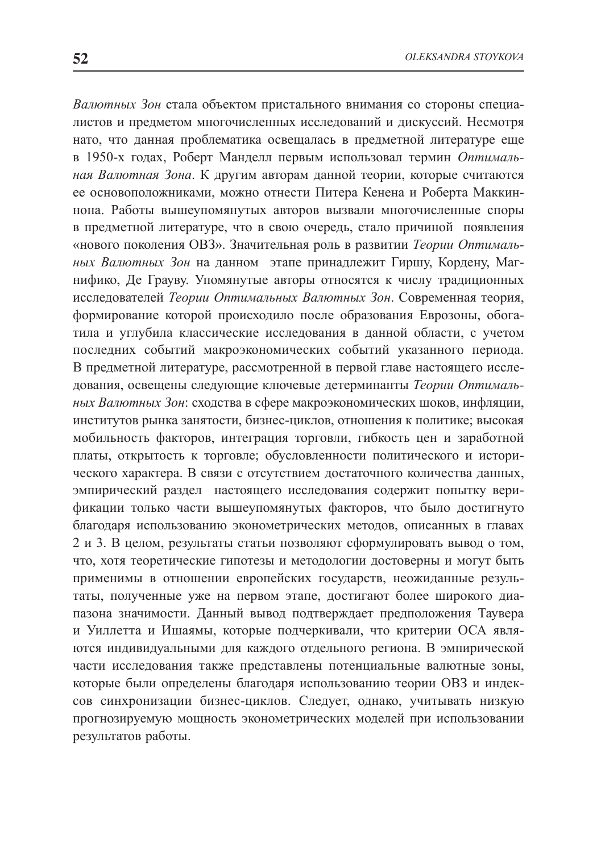*Валютных Зон* стала объектом пристального внимания со стороны специалистов и предметом многочисленных исследований и дискуссий. Несмотря нато, что данная проблематика освещалась в предметной литературе еще в 1950-х годах, Роберт Манделл первым использовал термин *Оптимальная Валютная Зона*. К другим авторам данной теории, которые считаются ее основоположниками, можно отнести Питера Кенена и Роберта Маккиннона. Работы вышеупомянутых авторов вызвали многочисленные споры в предметной литературе, что в свою очередь, стало причиной появления «нового поколения ОВЗ». Значительная роль в развитии *Теории Оптимальных Валютных Зон* на данном этапе принадлежит Гиршу, Кордену, Магнифико, Де Грауву. Упомянутые авторы относятся к числу традиционных исследователей *Теории Оптимальных Валютных Зон*. Современная теория, формирование которой происходило после образования Еврозоны, обогатила и углубила классические исследования в данной области, с учетом последних событий макроэкономических событий указанного периода. В предметной литературе, рассмотренной в первой главе настоящего исследования, освещены следующие ключевые детерминанты *Теории Оптимальных Валютных Зон*: сходства в сфере макроэкономических шоков, инфляции, институтов рынка занятости, бизнес-циклов, отношения к политике; высокая мобильность факторов, интеграция торговли, гибкость цен и заработной платы, открытость к торговле; обусловленности политического и исторического характера. В связи с отсутствием достаточного количества данных, эмпирический раздел настоящего исследования содержит попытку верификации только части вышеупомянутых факторов, что было достигнуто благодаря использованию эконометрических методов, описанных в главах 2 и 3. В целом, результаты статьи позволяют сформулировать вывод о том, что, хотя теоретические гипотезы и методологии достоверны и могут быть применимы в отношении европейских государств, неожиданные результаты, полученные уже на первом этапе, достигают более широкого диапазона значимости. Данный вывод подтверждает предположения Таувера и Уиллетта и Ишаямы, которые подчеркивали, что критерии ОСА являются индивидуальными для каждого отдельного региона. В эмпирической части исследования также представлены потенциальные валютные зоны, которые были определены благодаря использованию теории ОВЗ и индексов синхронизации бизнес-циклов. Следует, однако, учитывать низкую прогнозируемую мощность эконометрических моделей при использовании результатов работы.